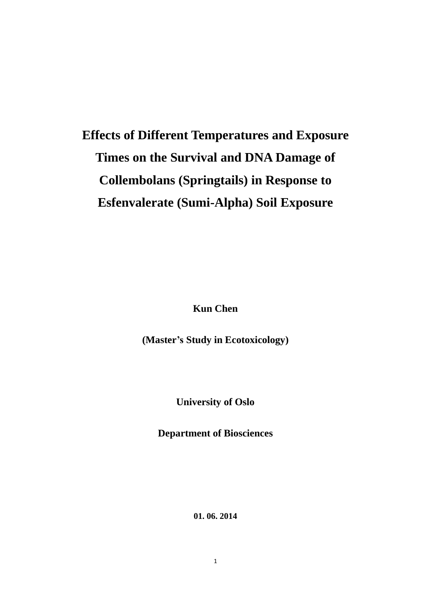# **Effects of Different Temperatures and Exposure Times on the Survival and DNA Damage of Collembolans (Springtails) in Response to Esfenvalerate (Sumi-Alpha) Soil Exposure**

**Kun Chen**

**(Master's Study in Ecotoxicology)**

**University of Oslo** 

**Department of Biosciences**

**01. 06. 2014**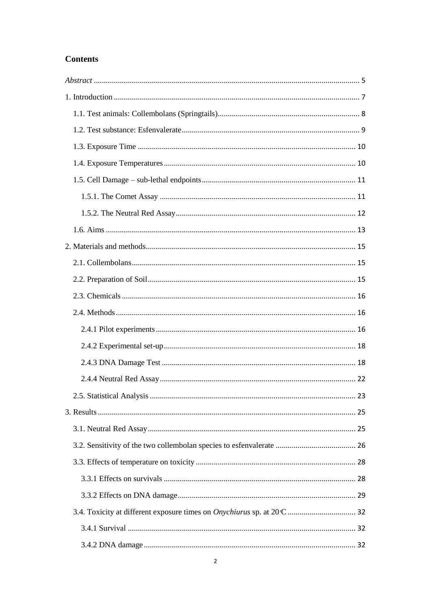# **Contents**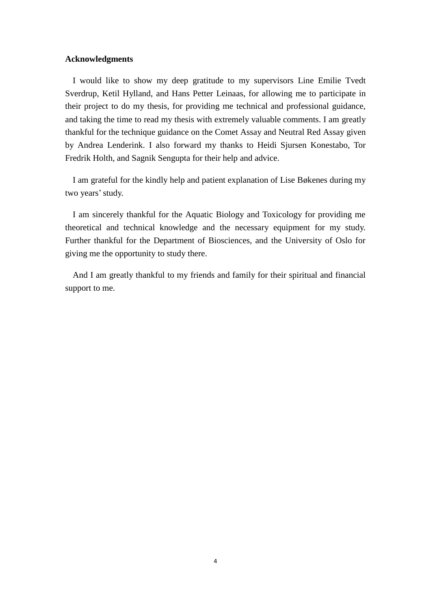# **Acknowledgments**

I would like to show my deep gratitude to my supervisors Line Emilie Tvedt Sverdrup, Ketil Hylland, and Hans Petter Leinaas, for allowing me to participate in their project to do my thesis, for providing me technical and professional guidance, and taking the time to read my thesis with extremely valuable comments. I am greatly thankful for the technique guidance on the Comet Assay and Neutral Red Assay given by Andrea Lenderink. I also forward my thanks to Heidi Sjursen Konestabo, Tor Fredrik Holth, and Sagnik Sengupta for their help and advice.

I am grateful for the kindly help and patient explanation of Lise B  $\alpha$  kenes during my two years' study.

I am sincerely thankful for the Aquatic Biology and Toxicology for providing me theoretical and technical knowledge and the necessary equipment for my study. Further thankful for the Department of Biosciences, and the University of Oslo for giving me the opportunity to study there.

And I am greatly thankful to my friends and family for their spiritual and financial support to me.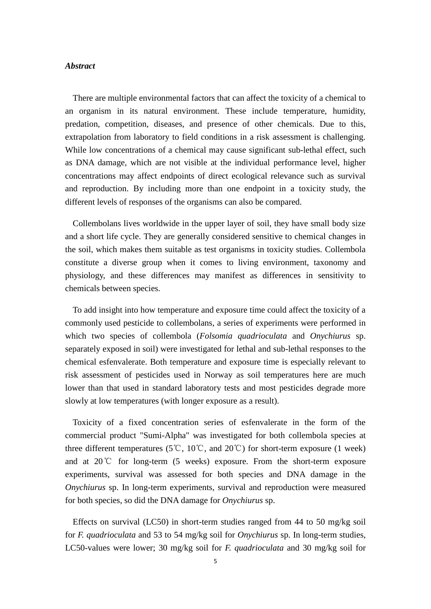## <span id="page-4-0"></span>*Abstract*

There are multiple environmental factors that can affect the toxicity of a chemical to an organism in its natural environment. These include temperature, humidity, predation, competition, diseases, and presence of other chemicals. Due to this, extrapolation from laboratory to field conditions in a risk assessment is challenging. While low concentrations of a chemical may cause significant sub-lethal effect, such as DNA damage, which are not visible at the individual performance level, higher concentrations may affect endpoints of direct ecological relevance such as survival and reproduction. By including more than one endpoint in a toxicity study, the different levels of responses of the organisms can also be compared.

Collembolans lives worldwide in the upper layer of soil, they have small body size and a short life cycle. They are generally considered sensitive to chemical changes in the soil, which makes them suitable as test organisms in toxicity studies. Collembola constitute a diverse group when it comes to living environment, taxonomy and physiology, and these differences may manifest as differences in sensitivity to chemicals between species.

To add insight into how temperature and exposure time could affect the toxicity of a commonly used pesticide to collembolans, a series of experiments were performed in which two species of collembola (*Folsomia quadrioculata* and *Onychiurus* sp. separately exposed in soil) were investigated for lethal and sub-lethal responses to the chemical esfenvalerate. Both temperature and exposure time is especially relevant to risk assessment of pesticides used in Norway as soil temperatures here are much lower than that used in standard laboratory tests and most pesticides degrade more slowly at low temperatures (with longer exposure as a result).

Toxicity of a fixed concentration series of esfenvalerate in the form of the commercial product "Sumi-Alpha" was investigated for both collembola species at three different temperatures (5℃, 10℃, and 20℃) for short-term exposure (1 week) and at 20℃ for long-term (5 weeks) exposure. From the short-term exposure experiments, survival was assessed for both species and DNA damage in the *Onychiurus* sp. In long-term experiments, survival and reproduction were measured for both species, so did the DNA damage for *Onychiurus* sp.

Effects on survival (LC50) in short-term studies ranged from 44 to 50 mg/kg soil for *F. quadrioculata* and 53 to 54 mg/kg soil for *Onychiurus* sp. In long-term studies, LC50-values were lower; 30 mg/kg soil for *F. quadrioculata* and 30 mg/kg soil for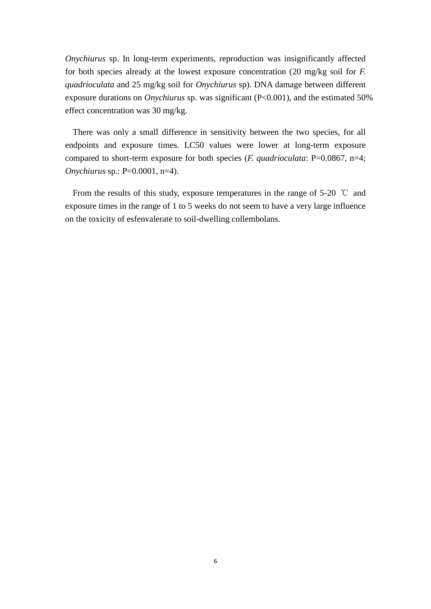*Onychiurus* sp. In long-term experiments, reproduction was insignificantly affected for both species already at the lowest exposure concentration (20 mg/kg soil for *F. quadrioculata* and 25 mg/kg soil for *Onychiurus* sp). DNA damage between different exposure durations on *Onychiurus* sp. was significant (P<0.001), and the estimated 50% effect concentration was 30 mg/kg.

There was only a small difference in sensitivity between the two species, for all endpoints and exposure times. LC50 values were lower at long-term exposure compared to short-term exposure for both species (*F. quadrioculata*: P=0.0867, n=4; *Onychiurus* sp.: P=0.0001, n=4).

From the results of this study, exposure temperatures in the range of 5-20 ℃ and exposure times in the range of 1 to 5 weeks do not seem to have a very large influence on the toxicity of esfenvalerate to soil-dwelling collembolans.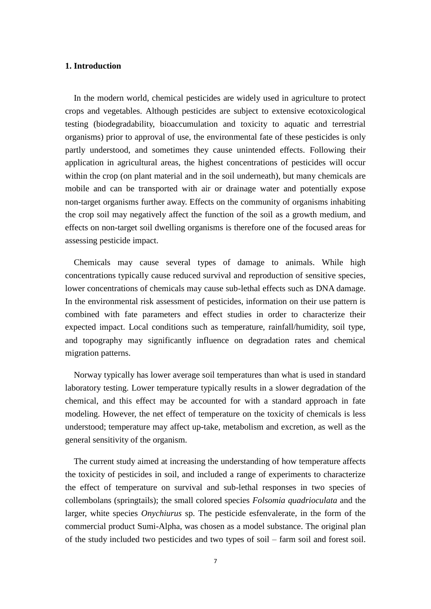# <span id="page-6-0"></span>**1. Introduction**

In the modern world, chemical pesticides are widely used in agriculture to protect crops and vegetables. Although pesticides are subject to extensive ecotoxicological testing (biodegradability, bioaccumulation and toxicity to aquatic and terrestrial organisms) prior to approval of use, the environmental fate of these pesticides is only partly understood, and sometimes they cause unintended effects. Following their application in agricultural areas, the highest concentrations of pesticides will occur within the crop (on plant material and in the soil underneath), but many chemicals are mobile and can be transported with air or drainage water and potentially expose non-target organisms further away. Effects on the community of organisms inhabiting the crop soil may negatively affect the function of the soil as a growth medium, and effects on non-target soil dwelling organisms is therefore one of the focused areas for assessing pesticide impact.

Chemicals may cause several types of damage to animals. While high concentrations typically cause reduced survival and reproduction of sensitive species, lower concentrations of chemicals may cause sub-lethal effects such as DNA damage. In the environmental risk assessment of pesticides, information on their use pattern is combined with fate parameters and effect studies in order to characterize their expected impact. Local conditions such as temperature, rainfall/humidity, soil type, and topography may significantly influence on degradation rates and chemical migration patterns.

Norway typically has lower average soil temperatures than what is used in standard laboratory testing. Lower temperature typically results in a slower degradation of the chemical, and this effect may be accounted for with a standard approach in fate modeling. However, the net effect of temperature on the toxicity of chemicals is less understood; temperature may affect up-take, metabolism and excretion, as well as the general sensitivity of the organism.

The current study aimed at increasing the understanding of how temperature affects the toxicity of pesticides in soil, and included a range of experiments to characterize the effect of temperature on survival and sub-lethal responses in two species of collembolans (springtails); the small colored species *Folsomia quadrioculata* and the larger, white species *Onychiurus* sp. The pesticide esfenvalerate, in the form of the commercial product Sumi-Alpha, was chosen as a model substance. The original plan of the study included two pesticides and two types of soil – farm soil and forest soil.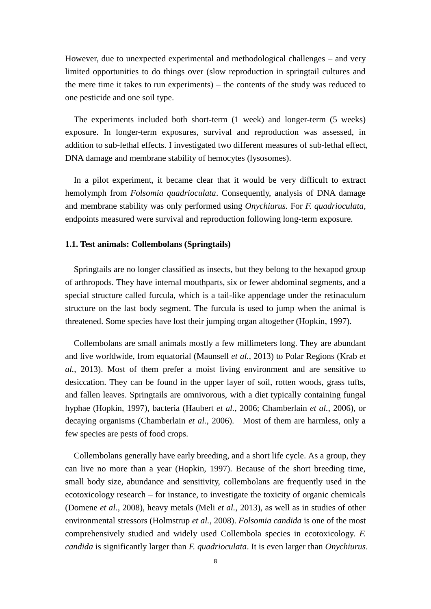However, due to unexpected experimental and methodological challenges – and very limited opportunities to do things over (slow reproduction in springtail cultures and the mere time it takes to run experiments) – the contents of the study was reduced to one pesticide and one soil type.

The experiments included both short-term (1 week) and longer-term (5 weeks) exposure. In longer-term exposures, survival and reproduction was assessed, in addition to sub-lethal effects. I investigated two different measures of sub-lethal effect, DNA damage and membrane stability of hemocytes (lysosomes).

In a pilot experiment, it became clear that it would be very difficult to extract hemolymph from *Folsomia quadrioculata*. Consequently, analysis of DNA damage and membrane stability was only performed using *Onychiurus.* For *F. quadrioculata,* endpoints measured were survival and reproduction following long-term exposure.

# <span id="page-7-0"></span>**1.1. Test animals: Collembolans (Springtails)**

Springtails are no longer classified as insects, but they belong to the hexapod group of arthropods. They have internal mouthparts, six or fewer abdominal segments, and a special structure called furcula, which is a tail-like appendage under the retinaculum structure on the last body segment. The furcula is used to jump when the animal is threatened. Some species have lost their jumping organ altogether (Hopkin, 1997).

Collembolans are small animals mostly a few millimeters long. They are abundant and live worldwide, from equatorial (Maunsell *et al.*, 2013) to Polar Regions (Krab *et al.*, 2013). Most of them prefer a moist living environment and are sensitive to desiccation. They can be found in the upper layer of soil, rotten woods, grass tufts, and fallen leaves. Springtails are omnivorous, with a diet typically containing fungal hyphae (Hopkin, 1997), bacteria (Haubert *et al.*, 2006; Chamberlain *et al.*, 2006), or decaying organisms (Chamberlain *et al.*, 2006). Most of them are harmless, only a few species are pests of food crops.

Collembolans generally have early breeding, and a short life cycle. As a group, they can live no more than a year (Hopkin, 1997). Because of the short breeding time, small body size, abundance and sensitivity, collembolans are frequently used in the ecotoxicology research – for instance, to investigate the toxicity of organic chemicals (Domene *et al.*, 2008), heavy metals (Meli *et al.*, 2013), as well as in studies of other environmental stressors (Holmstrup *et al.*, 2008). *Folsomia candida* is one of the most comprehensively studied and widely used Collembola species in ecotoxicology. *F. candida* is significantly larger than *F. quadrioculata*. It is even larger than *Onychiurus*.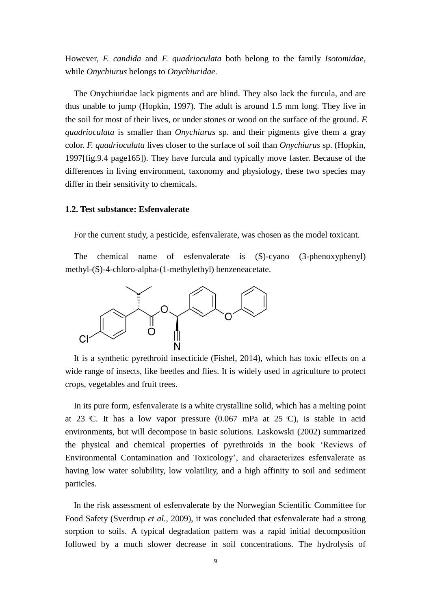However, *F. candida* and *F. quadrioculata* both belong to the family *Isotomidae*, while *Onychiurus* belongs to *Onychiuridae*.

The Onychiuridae lack pigments and are blind. They also lack the furcula, and are thus unable to jump (Hopkin, 1997). The adult is around 1.5 mm long. They live in the soil for most of their lives, or under stones or wood on the surface of the ground. *F. quadrioculata* is smaller than *Onychiurus* sp. and their pigments give them a gray color. *F. quadrioculata* lives closer to the surface of soil than *Onychiurus* sp. (Hopkin, 1997[fig.9.4 page165]). They have furcula and typically move faster. Because of the differences in living environment, taxonomy and physiology, these two species may differ in their sensitivity to chemicals.

# <span id="page-8-0"></span>**1.2. Test substance: Esfenvalerate**

For the current study, a pesticide, esfenvalerate, was chosen as the model toxicant.

The chemical name of esfenvalerate is (S)-cyano (3-phenoxyphenyl) methyl-(S)-4-chloro-alpha-(1-methylethyl) benzeneacetate.



It is a synthetic pyrethroid insecticide (Fishel, 2014), which has toxic effects on a wide range of insects, like beetles and flies. It is widely used in agriculture to protect crops, vegetables and fruit trees.

In its pure form, esfenvalerate is a white crystalline solid, which has a melting point at 23 C. It has a low vapor pressure  $(0.067 \text{ mPa}$  at 25 C), is stable in acid environments, but will decompose in basic solutions. Laskowski (2002) summarized the physical and chemical properties of pyrethroids in the book 'Reviews of Environmental Contamination and Toxicology', and characterizes esfenvalerate as having low water solubility, low volatility, and a high affinity to soil and sediment particles.

In the risk assessment of esfenvalerate by the Norwegian Scientific Committee for Food Safety (Sverdrup *et al.*, 2009), it was concluded that esfenvalerate had a strong sorption to soils. A typical degradation pattern was a rapid initial decomposition followed by a much slower decrease in soil concentrations. The hydrolysis of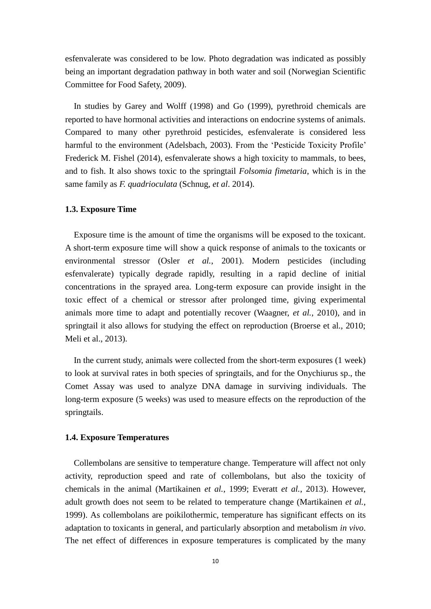esfenvalerate was considered to be low. Photo degradation was indicated as possibly being an important degradation pathway in both water and soil (Norwegian Scientific Committee for Food Safety, 2009).

In studies by Garey and Wolff (1998) and Go (1999), pyrethroid chemicals are reported to have hormonal activities and interactions on endocrine systems of animals. Compared to many other pyrethroid pesticides, esfenvalerate is considered less harmful to the environment (Adelsbach, 2003). From the 'Pesticide Toxicity Profile' Frederick M. Fishel (2014), esfenvalerate shows a high toxicity to mammals, to bees, and to fish. It also shows toxic to the springtail *Folsomia fimetaria*, which is in the same family as *F. quadrioculata* (Schnug, *et al*. 2014).

# <span id="page-9-0"></span>**1.3. Exposure Time**

Exposure time is the amount of time the organisms will be exposed to the toxicant. A short-term exposure time will show a quick response of animals to the toxicants or environmental stressor (Osler *et al.*, 2001). Modern pesticides (including esfenvalerate) typically degrade rapidly, resulting in a rapid decline of initial concentrations in the sprayed area. Long-term exposure can provide insight in the toxic effect of a chemical or stressor after prolonged time, giving experimental animals more time to adapt and potentially recover (Waagner, *et al.*, 2010), and in springtail it also allows for studying the effect on reproduction (Broerse et al., 2010; Meli et al., 2013).

In the current study, animals were collected from the short-term exposures (1 week) to look at survival rates in both species of springtails, and for the Onychiurus sp., the Comet Assay was used to analyze DNA damage in surviving individuals. The long-term exposure (5 weeks) was used to measure effects on the reproduction of the springtails.

### <span id="page-9-1"></span>**1.4. Exposure Temperatures**

Collembolans are sensitive to temperature change. Temperature will affect not only activity, reproduction speed and rate of collembolans, but also the toxicity of chemicals in the animal (Martikainen *et al.*, 1999; Everatt *et al.*, 2013). However, adult growth does not seem to be related to temperature change (Martikainen *et al.*, 1999). As collembolans are poikilothermic, temperature has significant effects on its adaptation to toxicants in general, and particularly absorption and metabolism *in vivo*. The net effect of differences in exposure temperatures is complicated by the many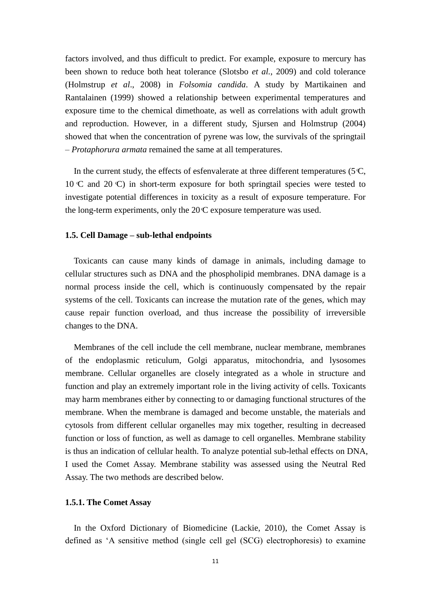factors involved, and thus difficult to predict. For example, exposure to mercury has been shown to reduce both heat tolerance (Slotsbo *et al.*, 2009) and cold tolerance (Holmstrup *et al*., 2008) in *Folsomia candida*. A study by Martikainen and Rantalainen (1999) showed a relationship between experimental temperatures and exposure time to the chemical dimethoate, as well as correlations with adult growth and reproduction. However, in a different study, Sjursen and Holmstrup (2004) showed that when the concentration of pyrene was low, the survivals of the springtail – *Protaphorura armata* remained the same at all temperatures.

In the current study, the effects of esfenvalerate at three different temperatures ( $5\text{ C}$ ,  $10 \text{ C}$  and  $20 \text{ C}$ ) in short-term exposure for both springtail species were tested to investigate potential differences in toxicity as a result of exposure temperature. For the long-term experiments, only the  $20 \text{ C}$  exposure temperature was used.

# <span id="page-10-0"></span>**1.5. Cell Damage – sub-lethal endpoints**

Toxicants can cause many kinds of damage in animals, including damage to cellular structures such as DNA and the phospholipid membranes. DNA damage is a normal process inside the cell, which is continuously compensated by the repair systems of the cell. Toxicants can increase the mutation rate of the genes, which may cause repair function overload, and thus increase the possibility of irreversible changes to the DNA.

Membranes of the cell include the cell membrane, nuclear membrane, membranes of the endoplasmic reticulum, Golgi apparatus, mitochondria, and lysosomes membrane. Cellular organelles are closely integrated as a whole in structure and function and play an extremely important role in the living activity of cells. Toxicants may harm membranes either by connecting to or damaging functional structures of the membrane. When the membrane is damaged and become unstable, the materials and cytosols from different cellular organelles may mix together, resulting in decreased function or loss of function, as well as damage to cell organelles. Membrane stability is thus an indication of cellular health. To analyze potential sub-lethal effects on DNA, I used the Comet Assay. Membrane stability was assessed using the Neutral Red Assay. The two methods are described below.

# <span id="page-10-1"></span>**1.5.1. The Comet Assay**

In the Oxford Dictionary of Biomedicine (Lackie, 2010), the Comet Assay is defined as 'A sensitive method (single cell gel (SCG) electrophoresis) to examine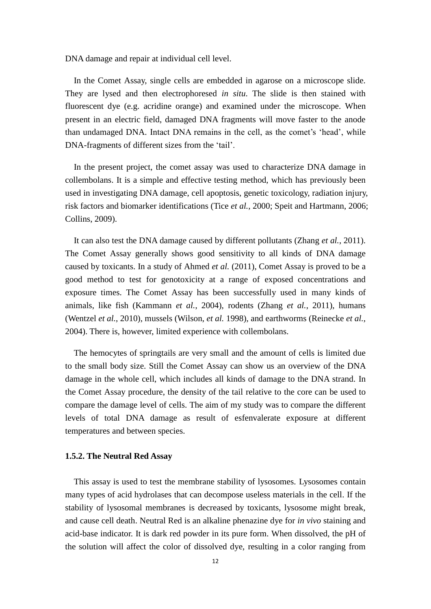DNA damage and repair at individual cell level.

In the Comet Assay, single cells are embedded in agarose on a microscope slide. They are lysed and then electrophoresed *in situ*. The slide is then stained with fluorescent dye (e.g. acridine orange) and examined under the microscope. When present in an electric field, damaged DNA fragments will move faster to the anode than undamaged DNA. Intact DNA remains in the cell, as the comet's 'head', while DNA-fragments of different sizes from the 'tail'.

In the present project, the comet assay was used to characterize DNA damage in collembolans. It is a simple and effective testing method, which has previously been used in investigating DNA damage, cell apoptosis, genetic toxicology, radiation injury, risk factors and biomarker identifications (Tice *et al.*, 2000; Speit and Hartmann, 2006; Collins, 2009).

It can also test the DNA damage caused by different pollutants (Zhang *et al.*, 2011). The Comet Assay generally shows good sensitivity to all kinds of DNA damage caused by toxicants. In a study of Ahmed *et al.* (2011), Comet Assay is proved to be a good method to test for genotoxicity at a range of exposed concentrations and exposure times. The Comet Assay has been successfully used in many kinds of animals, like fish (Kammann *et al.*, 2004), rodents (Zhang *et al.*, 2011), humans (Wentzel *et al.*, 2010), mussels (Wilson, *et al.* 1998), and earthworms (Reinecke *et al.*, 2004). There is, however, limited experience with collembolans.

The hemocytes of springtails are very small and the amount of cells is limited due to the small body size. Still the Comet Assay can show us an overview of the DNA damage in the whole cell, which includes all kinds of damage to the DNA strand. In the Comet Assay procedure, the density of the tail relative to the core can be used to compare the damage level of cells. The aim of my study was to compare the different levels of total DNA damage as result of esfenvalerate exposure at different temperatures and between species.

# <span id="page-11-0"></span>**1.5.2. The Neutral Red Assay**

This assay is used to test the membrane stability of lysosomes. Lysosomes contain many types of acid hydrolases that can decompose useless materials in the cell. If the stability of lysosomal membranes is decreased by toxicants, lysosome might break, and cause cell death. Neutral Red is an alkaline phenazine dye for *in vivo* staining and acid-base indicator. It is dark red powder in its pure form. When dissolved, the pH of the solution will affect the color of dissolved dye, resulting in a color ranging from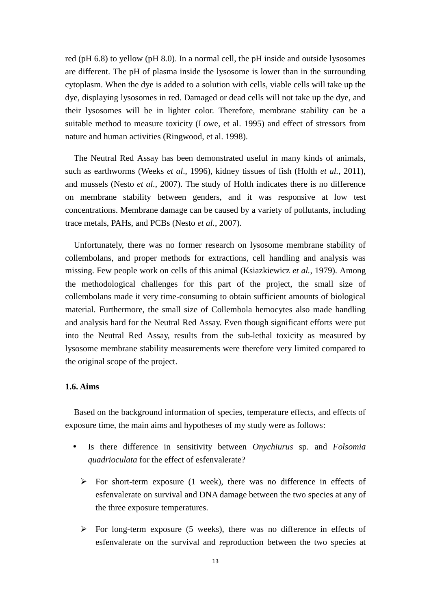red (pH 6.8) to yellow (pH 8.0). In a normal cell, the pH inside and outside lysosomes are different. The pH of plasma inside the lysosome is lower than in the surrounding cytoplasm. When the dye is added to a solution with cells, viable cells will take up the dye, displaying lysosomes in red. Damaged or dead cells will not take up the dye, and their lysosomes will be in lighter color. Therefore, membrane stability can be a suitable method to measure toxicity (Lowe, et al. 1995) and effect of stressors from nature and human activities (Ringwood, et al. 1998).

The Neutral Red Assay has been demonstrated useful in many kinds of animals, such as earthworms (Weeks *et al*., 1996), kidney tissues of fish (Holth *et al.*, 2011), and mussels (Nesto *et al.*, 2007). The study of Holth indicates there is no difference on membrane stability between genders, and it was responsive at low test concentrations. Membrane damage can be caused by a variety of pollutants, including trace metals, PAHs, and PCBs (Nesto *et al.*, 2007).

Unfortunately, there was no former research on lysosome membrane stability of collembolans, and proper methods for extractions, cell handling and analysis was missing. Few people work on cells of this animal (Ksiazkiewicz *et al.*, 1979). Among the methodological challenges for this part of the project, the small size of collembolans made it very time-consuming to obtain sufficient amounts of biological material. Furthermore, the small size of Collembola hemocytes also made handling and analysis hard for the Neutral Red Assay. Even though significant efforts were put into the Neutral Red Assay, results from the sub-lethal toxicity as measured by lysosome membrane stability measurements were therefore very limited compared to the original scope of the project.

# <span id="page-12-0"></span>**1.6. Aims**

Based on the background information of species, temperature effects, and effects of exposure time, the main aims and hypotheses of my study were as follows:

- Is there difference in sensitivity between *Onychiurus* sp. and *Folsomia quadrioculata* for the effect of esfenvalerate?
	- $\triangleright$  For short-term exposure (1 week), there was no difference in effects of esfenvalerate on survival and DNA damage between the two species at any of the three exposure temperatures.
	- $\triangleright$  For long-term exposure (5 weeks), there was no difference in effects of esfenvalerate on the survival and reproduction between the two species at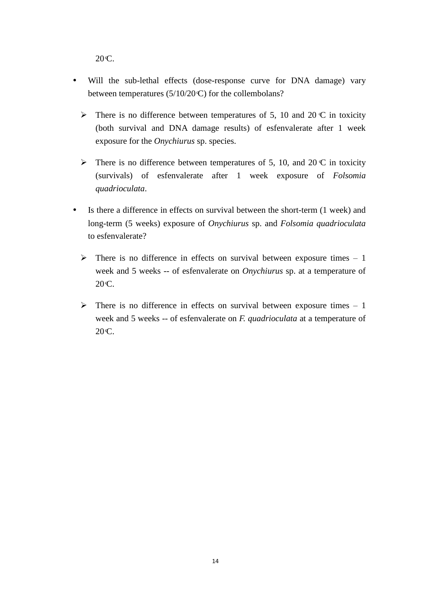20 C.

- Will the sub-lethal effects (dose-response curve for DNA damage) vary between temperatures (5/10/20 C) for the collembolans?
	- $\triangleright$  There is no difference between temperatures of 5, 10 and 20 °C in toxicity (both survival and DNA damage results) of esfenvalerate after 1 week exposure for the *Onychiurus* sp. species.
	- $\triangleright$  There is no difference between temperatures of 5, 10, and 20 °C in toxicity (survivals) of esfenvalerate after 1 week exposure of *Folsomia quadrioculata*.
- Is there a difference in effects on survival between the short-term (1 week) and long-term (5 weeks) exposure of *Onychiurus* sp. and *Folsomia quadrioculata* to esfenvalerate?
	- $\triangleright$  There is no difference in effects on survival between exposure times 1 week and 5 weeks -- of esfenvalerate on *Onychiurus* sp. at a temperature of  $20C$ .
	- $\triangleright$  There is no difference in effects on survival between exposure times 1 week and 5 weeks -- of esfenvalerate on *F. quadrioculata* at a temperature of  $20 \text{C}$ .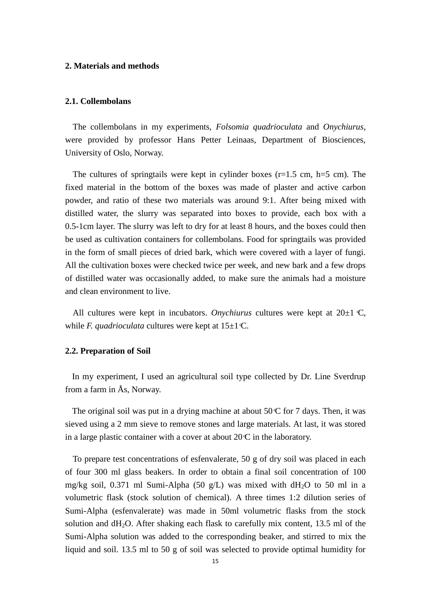# <span id="page-14-0"></span>**2. Materials and methods**

# <span id="page-14-1"></span>**2.1. Collembolans**

The collembolans in my experiments, *Folsomia quadrioculata* and *Onychiurus*, were provided by professor Hans Petter Leinaas, Department of Biosciences, University of Oslo, Norway.

The cultures of springtails were kept in cylinder boxes  $(r=1.5 \text{ cm}, \text{h}=5 \text{ cm})$ . The fixed material in the bottom of the boxes was made of plaster and active carbon powder, and ratio of these two materials was around 9:1. After being mixed with distilled water, the slurry was separated into boxes to provide, each box with a 0.5-1cm layer. The slurry was left to dry for at least 8 hours, and the boxes could then be used as cultivation containers for collembolans. Food for springtails was provided in the form of small pieces of dried bark, which were covered with a layer of fungi. All the cultivation boxes were checked twice per week, and new bark and a few drops of distilled water was occasionally added, to make sure the animals had a moisture and clean environment to live.

All cultures were kept in incubators. *Onychiurus* cultures were kept at  $20 \pm 1$  °C, while *F. quadrioculata* cultures were kept at  $15 \pm 1$  °C.

# <span id="page-14-2"></span>**2.2. Preparation of Soil**

In my experiment, I used an agricultural soil type collected by Dr. Line Sverdrup from a farm in Ås, Norway.

The original soil was put in a drying machine at about  $50 \text{ C}$  for 7 days. Then, it was sieved using a 2 mm sieve to remove stones and large materials. At last, it was stored in a large plastic container with a cover at about  $20\text{ C}$  in the laboratory.

To prepare test concentrations of esfenvalerate, 50 g of dry soil was placed in each of four 300 ml glass beakers. In order to obtain a final soil concentration of 100 mg/kg soil, 0.371 ml Sumi-Alpha (50 g/L) was mixed with  $dH_2O$  to 50 ml in a volumetric flask (stock solution of chemical). A three times 1:2 dilution series of Sumi-Alpha (esfenvalerate) was made in 50ml volumetric flasks from the stock solution and  $dH_2O$ . After shaking each flask to carefully mix content, 13.5 ml of the Sumi-Alpha solution was added to the corresponding beaker, and stirred to mix the liquid and soil. 13.5 ml to 50 g of soil was selected to provide optimal humidity for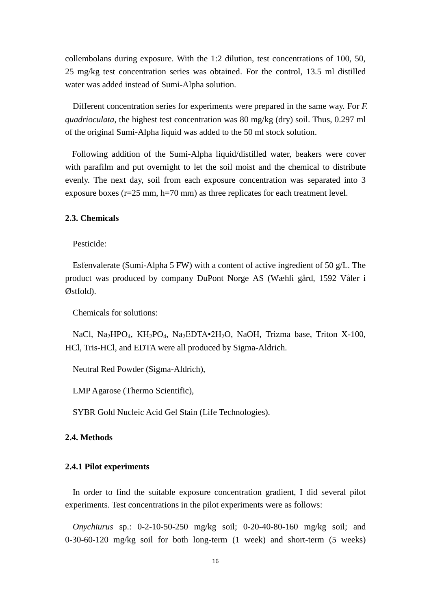collembolans during exposure. With the 1:2 dilution, test concentrations of 100, 50, 25 mg/kg test concentration series was obtained. For the control, 13.5 ml distilled water was added instead of Sumi-Alpha solution.

Different concentration series for experiments were prepared in the same way. For *F. quadrioculata*, the highest test concentration was 80 mg/kg (dry) soil. Thus, 0.297 ml of the original Sumi-Alpha liquid was added to the 50 ml stock solution.

Following addition of the Sumi-Alpha liquid/distilled water, beakers were cover with parafilm and put overnight to let the soil moist and the chemical to distribute evenly. The next day, soil from each exposure concentration was separated into 3 exposure boxes (r=25 mm, h=70 mm) as three replicates for each treatment level.

# <span id="page-15-0"></span>**2.3. Chemicals**

Pesticide:

Esfenvalerate (Sumi-Alpha 5 FW) with a content of active ingredient of 50 g/L. The product was produced by company DuPont Norge AS (Wæhli gård, 1592 Våler i Østfold).

Chemicals for solutions:

NaCl, Na<sub>2</sub>HPO<sub>4</sub>, KH<sub>2</sub>PO<sub>4</sub>, Na<sub>2</sub>EDTA•2H<sub>2</sub>O, NaOH, Trizma base, Triton X-100, HCl, Tris-HCl, and EDTA were all produced by Sigma-Aldrich.

Neutral Red Powder (Sigma-Aldrich),

LMP Agarose (Thermo Scientific),

SYBR Gold Nucleic Acid Gel Stain (Life Technologies).

# <span id="page-15-1"></span>**2.4. Methods**

# <span id="page-15-2"></span>**2.4.1 Pilot experiments**

In order to find the suitable exposure concentration gradient, I did several pilot experiments. Test concentrations in the pilot experiments were as follows:

*Onychiurus* sp.: 0-2-10-50-250 mg/kg soil; 0-20-40-80-160 mg/kg soil; and 0-30-60-120 mg/kg soil for both long-term (1 week) and short-term (5 weeks)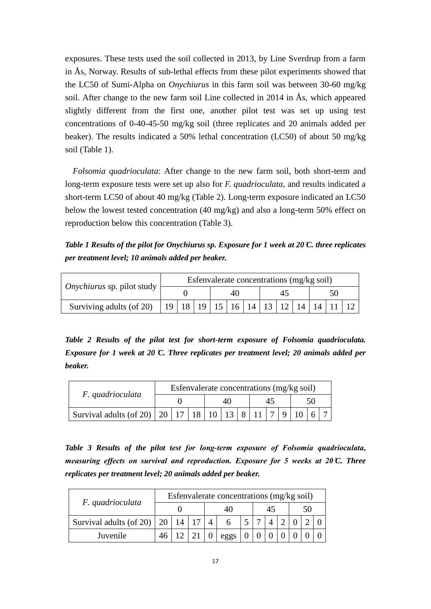exposures. These tests used the soil collected in 2013, by Line Sverdrup from a farm in Ås, Norway. Results of sub-lethal effects from these pilot experiments showed that the LC50 of Sumi-Alpha on *Onychiurus* in this farm soil was between 30-60 mg/kg soil. After change to the new farm soil Line collected in 2014 in Ås, which appeared slightly different from the first one, another pilot test was set up using test concentrations of 0-40-45-50 mg/kg soil (three replicates and 20 animals added per beaker). The results indicated a 50% lethal concentration (LC50) of about 50 mg/kg soil (Table 1).

*Folsomia quadrioculata*: After change to the new farm soil, both short-term and long-term exposure tests were set up also for *F. quadrioculata*, and results indicated a short-term LC50 of about 40 mg/kg (Table 2). Long-term exposure indicated an LC50 below the lowest tested concentration (40 mg/kg) and also a long-term 50% effect on reproduction below this concentration (Table 3).

*Table 1 Results of the pilot for Onychiurus sp. Exposure for 1 week at 20 C. three replicates per treatment level; 10 animals added per beaker.*

|                            | Esfenvalerate concentrations (mg/kg soil) |                                       |  |  |    |  |  |    |  |  |  |  |  |
|----------------------------|-------------------------------------------|---------------------------------------|--|--|----|--|--|----|--|--|--|--|--|
| Onychiurus sp. pilot study |                                           |                                       |  |  | 40 |  |  | 45 |  |  |  |  |  |
| Surviving adults (of 20)   | 19 l                                      | 18   19   15   16   14   13   12   14 |  |  |    |  |  |    |  |  |  |  |  |

*Table 2 Results of the pilot test for short-term exposure of Folsomia quadrioculata. Exposure for 1 week at 20 C. Three replicates per treatment level; 20 animals added per beaker.*

|                                                  | Esfenvalerate concentrations (mg/kg soil) |  |  |  |  |                |  |                |  |      |  |  |
|--------------------------------------------------|-------------------------------------------|--|--|--|--|----------------|--|----------------|--|------|--|--|
| F. quadrioculata                                 |                                           |  |  |  |  |                |  |                |  | า( ) |  |  |
| Survival adults (of 20)   20   17   18   10   13 |                                           |  |  |  |  | $\overline{8}$ |  | $\overline{7}$ |  |      |  |  |

*Table 3 Results of the pilot test for long-term exposure of Folsomia quadrioculata, measuring effects on survival and reproduction. Exposure for 5 weeks at 20 °C. Three replicates per treatment level; 20 animals added per beaker.*

|                              | Esfenvalerate concentrations (mg/kg soil) |    |  |  |      |  |    |  |  |  |  |  |
|------------------------------|-------------------------------------------|----|--|--|------|--|----|--|--|--|--|--|
| F. quadrioculata             |                                           |    |  |  |      |  | 45 |  |  |  |  |  |
| Survival adults (of 20)   20 |                                           | 14 |  |  |      |  |    |  |  |  |  |  |
| Juvenile                     |                                           |    |  |  | eggs |  |    |  |  |  |  |  |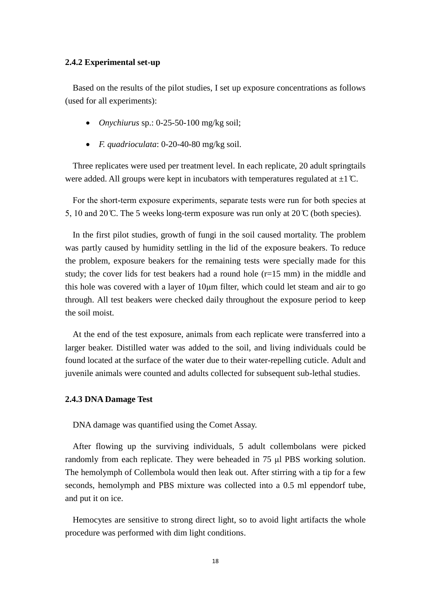### <span id="page-17-0"></span>**2.4.2 Experimental set-up**

Based on the results of the pilot studies, I set up exposure concentrations as follows (used for all experiments):

- *Onychiurus* sp.: 0-25-50-100 mg/kg soil;
- *F. quadrioculata*: 0-20-40-80 mg/kg soil.

Three replicates were used per treatment level. In each replicate, 20 adult springtails were added. All groups were kept in incubators with temperatures regulated at  $\pm 1 \degree C$ .

For the short-term exposure experiments, separate tests were run for both species at 5, 10 and 20 °C. The 5 weeks long-term exposure was run only at  $20^{\circ}$  C (both species).

In the first pilot studies, growth of fungi in the soil caused mortality. The problem was partly caused by humidity settling in the lid of the exposure beakers. To reduce the problem, exposure beakers for the remaining tests were specially made for this study; the cover lids for test beakers had a round hole (r=15 mm) in the middle and this hole was covered with a layer of 10μm filter, which could let steam and air to go through. All test beakers were checked daily throughout the exposure period to keep the soil moist.

At the end of the test exposure, animals from each replicate were transferred into a larger beaker. Distilled water was added to the soil, and living individuals could be found located at the surface of the water due to their water-repelling cuticle. Adult and juvenile animals were counted and adults collected for subsequent sub-lethal studies.

# <span id="page-17-1"></span>**2.4.3 DNA Damage Test**

DNA damage was quantified using the Comet Assay.

After flowing up the surviving individuals, 5 adult collembolans were picked randomly from each replicate. They were beheaded in 75 μl PBS working solution. The hemolymph of Collembola would then leak out. After stirring with a tip for a few seconds, hemolymph and PBS mixture was collected into a 0.5 ml eppendorf tube, and put it on ice.

Hemocytes are sensitive to strong direct light, so to avoid light artifacts the whole procedure was performed with dim light conditions.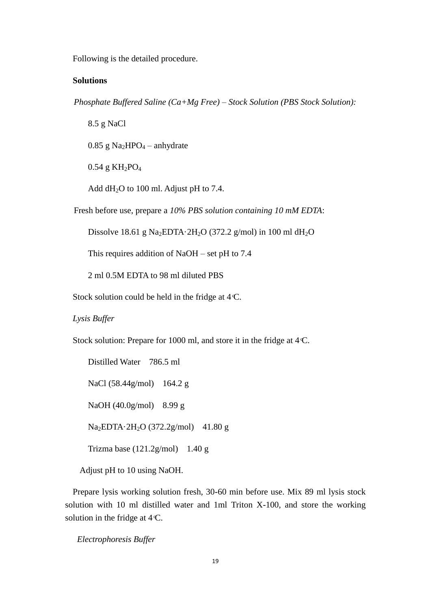Following is the detailed procedure.

# **Solutions**

*Phosphate Buffered Saline (Ca+Mg Free) – Stock Solution (PBS Stock Solution):*

8.5 g NaCl  $0.85$  g Na<sub>2</sub>HPO<sub>4</sub> – anhydrate

 $0.54$  g KH<sub>2</sub>PO<sub>4</sub>

Add  $dH_2O$  to 100 ml. Adjust pH to 7.4.

Fresh before use, prepare a *10% PBS solution containing 10 mM EDTA*:

Dissolve 18.61 g Na<sub>2</sub>EDTA 2H<sub>2</sub>O (372.2 g/mol) in 100 ml dH<sub>2</sub>O

This requires addition of NaOH – set pH to 7.4

2 ml 0.5M EDTA to 98 ml diluted PBS

Stock solution could be held in the fridge at  $4C$ .

*Lysis Buffer* 

Stock solution: Prepare for 1000 ml, and store it in the fridge at 4 °C.

Distilled Water 786.5 ml NaCl (58.44g/mol) 164.2 g NaOH (40.0g/mol) 8.99 g Na<sub>2</sub>EDTA 2H<sub>2</sub>O (372.2g/mol) 41.80 g Trizma base (121.2g/mol) 1.40 g

Adjust pH to 10 using NaOH.

Prepare lysis working solution fresh, 30-60 min before use. Mix 89 ml lysis stock solution with 10 ml distilled water and 1ml Triton X-100, and store the working solution in the fridge at  $4\text{ C}$ .

*Electrophoresis Buffer*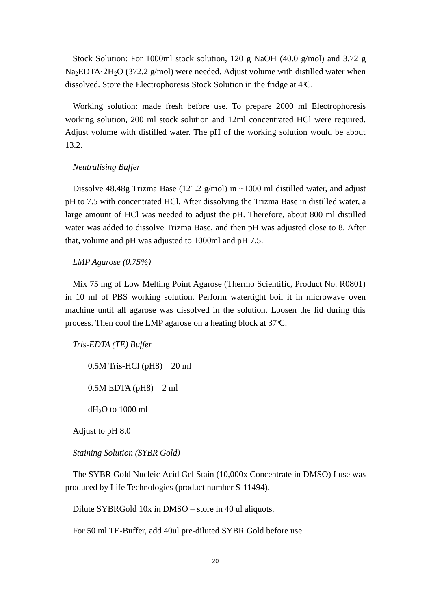Stock Solution: For 1000ml stock solution, 120 g NaOH (40.0 g/mol) and 3.72 g Na<sub>2</sub>EDTA  $2H_2O$  (372.2 g/mol) were needed. Adjust volume with distilled water when dissolved. Store the Electrophoresis Stock Solution in the fridge at 4 C.

Working solution: made fresh before use. To prepare 2000 ml Electrophoresis working solution, 200 ml stock solution and 12ml concentrated HCl were required. Adjust volume with distilled water. The pH of the working solution would be about 13.2.

# *Neutralising Buffer*

Dissolve 48.48g Trizma Base (121.2 g/mol) in  $\sim$ 1000 ml distilled water, and adjust pH to 7.5 with concentrated HCl. After dissolving the Trizma Base in distilled water, a large amount of HCl was needed to adjust the pH. Therefore, about 800 ml distilled water was added to dissolve Trizma Base, and then pH was adjusted close to 8. After that, volume and pH was adjusted to 1000ml and pH 7.5.

# *LMP Agarose (0.75%)*

Mix 75 mg of Low Melting Point Agarose (Thermo Scientific, Product No. R0801) in 10 ml of PBS working solution. Perform watertight boil it in microwave oven machine until all agarose was dissolved in the solution. Loosen the lid during this process. Then cool the LMP agarose on a heating block at 37 C.

*Tris-EDTA (TE) Buffer*

0.5M Tris-HCl (pH8) 20 ml  $0.5M$  EDTA (pH8)  $2$  ml  $dH<sub>2</sub>O$  to 1000 ml

Adjust to pH 8.0

*Staining Solution (SYBR Gold)*

The SYBR Gold Nucleic Acid Gel Stain (10,000x Concentrate in DMSO) I use was produced by Life Technologies (product number S-11494).

Dilute SYBRGold 10x in DMSO – store in 40 ul aliquots.

For 50 ml TE-Buffer, add 40ul pre-diluted SYBR Gold before use.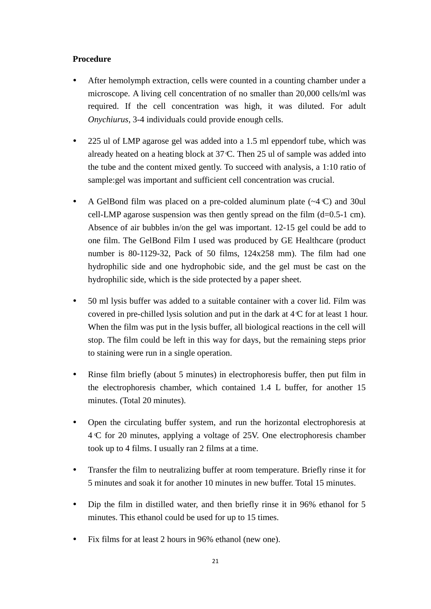# **Procedure**

- After hemolymph extraction, cells were counted in a counting chamber under a microscope. A living cell concentration of no smaller than 20,000 cells/ml was required. If the cell concentration was high, it was diluted. For adult *Onychiurus*, 3-4 individuals could provide enough cells.
- 225 ul of LMP agarose gel was added into a 1.5 ml eppendorf tube, which was already heated on a heating block at 37 C. Then 25 ul of sample was added into the tube and the content mixed gently. To succeed with analysis, a 1:10 ratio of sample:gel was important and sufficient cell concentration was crucial.
- A GelBond film was placed on a pre-colded aluminum plate  $(\sim 4 \text{ C})$  and 30ul cell-LMP agarose suspension was then gently spread on the film  $(d=0.5-1$  cm). Absence of air bubbles in/on the gel was important. 12-15 gel could be add to one film. The GelBond Film I used was produced by GE Healthcare (product number is 80-1129-32, Pack of 50 films, 124x258 mm). The film had one hydrophilic side and one hydrophobic side, and the gel must be cast on the hydrophilic side, which is the side protected by a paper sheet.
- 50 ml lysis buffer was added to a suitable container with a cover lid. Film was covered in pre-chilled lysis solution and put in the dark at 4 C for at least 1 hour. When the film was put in the lysis buffer, all biological reactions in the cell will stop. The film could be left in this way for days, but the remaining steps prior to staining were run in a single operation.
- Rinse film briefly (about 5 minutes) in electrophoresis buffer, then put film in the electrophoresis chamber, which contained 1.4 L buffer, for another 15 minutes. (Total 20 minutes).
- Open the circulating buffer system, and run the horizontal electrophoresis at 4 C for 20 minutes, applying a voltage of 25V. One electrophoresis chamber took up to 4 films. I usually ran 2 films at a time.
- Transfer the film to neutralizing buffer at room temperature. Briefly rinse it for 5 minutes and soak it for another 10 minutes in new buffer. Total 15 minutes.
- Dip the film in distilled water, and then briefly rinse it in 96% ethanol for 5 minutes. This ethanol could be used for up to 15 times.
- Fix films for at least 2 hours in 96% ethanol (new one).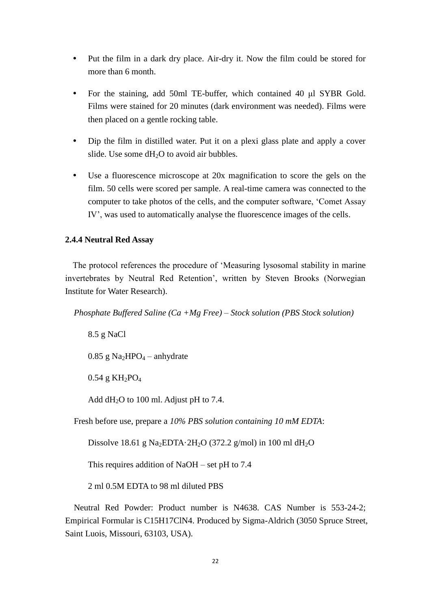- Put the film in a dark dry place. Air-dry it. Now the film could be stored for more than 6 month.
- For the staining, add 50ml TE-buffer, which contained 40 μl SYBR Gold. Films were stained for 20 minutes (dark environment was needed). Films were then placed on a gentle rocking table.
- Dip the film in distilled water. Put it on a plexi glass plate and apply a cover slide. Use some  $dH_2O$  to avoid air bubbles.
- Use a fluorescence microscope at 20x magnification to score the gels on the film. 50 cells were scored per sample. A real-time camera was connected to the computer to take photos of the cells, and the computer software, 'Comet Assay IV', was used to automatically analyse the fluorescence images of the cells.

# <span id="page-21-0"></span>**2.4.4 Neutral Red Assay**

The protocol references the procedure of 'Measuring lysosomal stability in marine invertebrates by Neutral Red Retention', written by Steven Brooks (Norwegian Institute for Water Research).

 *Phosphate Buffered Saline (Ca +Mg Free) – Stock solution (PBS Stock solution)*

8.5 g NaCl

 $0.85$  g Na<sub>2</sub>HPO<sub>4</sub> – anhydrate

 $0.54$  g KH<sub>2</sub>PO<sub>4</sub>

Add  $dH_2O$  to 100 ml. Adjust pH to 7.4.

Fresh before use, prepare a *10% PBS solution containing 10 mM EDTA*:

Dissolve 18.61 g Na<sub>2</sub>EDTA 2H<sub>2</sub>O (372.2 g/mol) in 100 ml dH<sub>2</sub>O

This requires addition of NaOH – set pH to 7.4

2 ml 0.5M EDTA to 98 ml diluted PBS

Neutral Red Powder: Product number is N4638. CAS Number is 553-24-2; Empirical Formular is C15H17ClN4. Produced by Sigma-Aldrich (3050 Spruce Street, Saint Luois, Missouri, 63103, USA).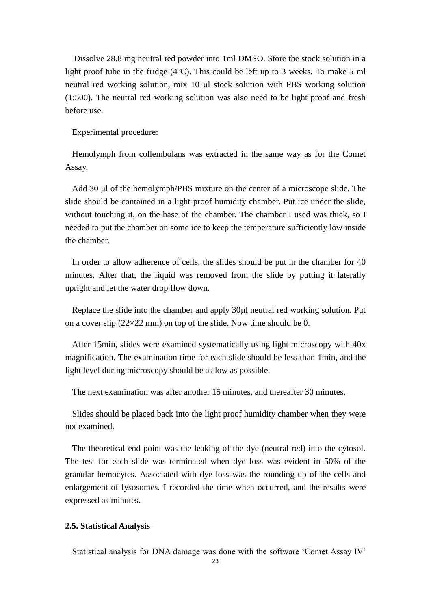Dissolve 28.8 mg neutral red powder into 1ml DMSO. Store the stock solution in a light proof tube in the fridge  $(4 \text{ C})$ . This could be left up to 3 weeks. To make 5 ml neutral red working solution, mix 10 μl stock solution with PBS working solution (1:500). The neutral red working solution was also need to be light proof and fresh before use.

Experimental procedure:

Hemolymph from collembolans was extracted in the same way as for the Comet Assay.

Add 30 μl of the hemolymph/PBS mixture on the center of a microscope slide. The slide should be contained in a light proof humidity chamber. Put ice under the slide, without touching it, on the base of the chamber. The chamber I used was thick, so I needed to put the chamber on some ice to keep the temperature sufficiently low inside the chamber.

In order to allow adherence of cells, the slides should be put in the chamber for 40 minutes. After that, the liquid was removed from the slide by putting it laterally upright and let the water drop flow down.

Replace the slide into the chamber and apply 30μl neutral red working solution. Put on a cover slip ( $22 \times 22$  mm) on top of the slide. Now time should be 0.

After 15min, slides were examined systematically using light microscopy with 40x magnification. The examination time for each slide should be less than 1min, and the light level during microscopy should be as low as possible.

The next examination was after another 15 minutes, and thereafter 30 minutes.

Slides should be placed back into the light proof humidity chamber when they were not examined.

The theoretical end point was the leaking of the dye (neutral red) into the cytosol. The test for each slide was terminated when dye loss was evident in 50% of the granular hemocytes. Associated with dye loss was the rounding up of the cells and enlargement of lysosomes. I recorded the time when occurred, and the results were expressed as minutes.

# <span id="page-22-0"></span>**2.5. Statistical Analysis**

Statistical analysis for DNA damage was done with the software 'Comet Assay IV'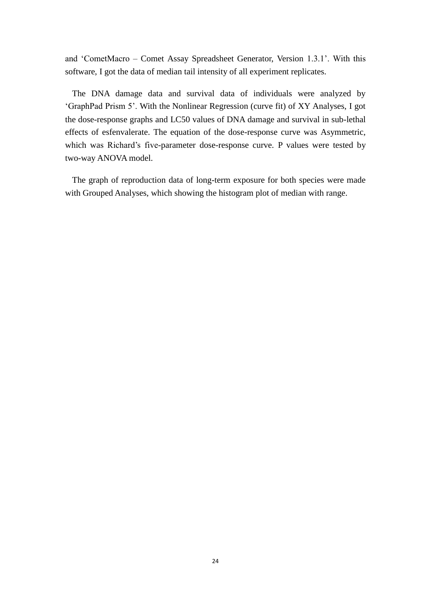and 'CometMacro – Comet Assay Spreadsheet Generator, Version 1.3.1'. With this software, I got the data of median tail intensity of all experiment replicates.

The DNA damage data and survival data of individuals were analyzed by 'GraphPad Prism 5'. With the Nonlinear Regression (curve fit) of XY Analyses, I got the dose-response graphs and LC50 values of DNA damage and survival in sub-lethal effects of esfenvalerate. The equation of the dose-response curve was Asymmetric, which was Richard's five-parameter dose-response curve. P values were tested by two-way ANOVA model.

The graph of reproduction data of long-term exposure for both species were made with Grouped Analyses, which showing the histogram plot of median with range.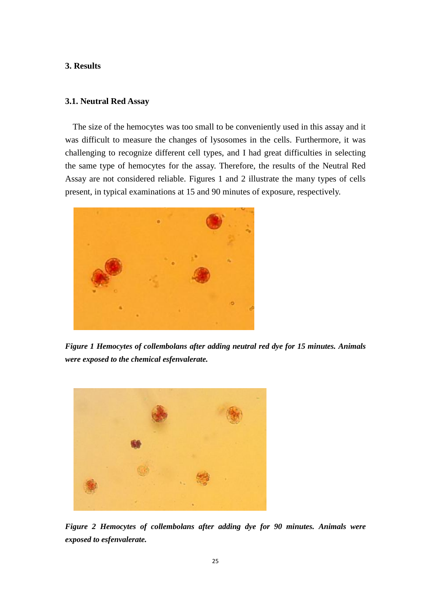# <span id="page-24-0"></span>**3. Results**

# <span id="page-24-1"></span>**3.1. Neutral Red Assay**

The size of the hemocytes was too small to be conveniently used in this assay and it was difficult to measure the changes of lysosomes in the cells. Furthermore, it was challenging to recognize different cell types, and I had great difficulties in selecting the same type of hemocytes for the assay. Therefore, the results of the Neutral Red Assay are not considered reliable. Figures 1 and 2 illustrate the many types of cells present, in typical examinations at 15 and 90 minutes of exposure, respectively.



*Figure 1 Hemocytes of collembolans after adding neutral red dye for 15 minutes. Animals were exposed to the chemical esfenvalerate.*



*Figure 2 Hemocytes of collembolans after adding dye for 90 minutes. Animals were exposed to esfenvalerate.*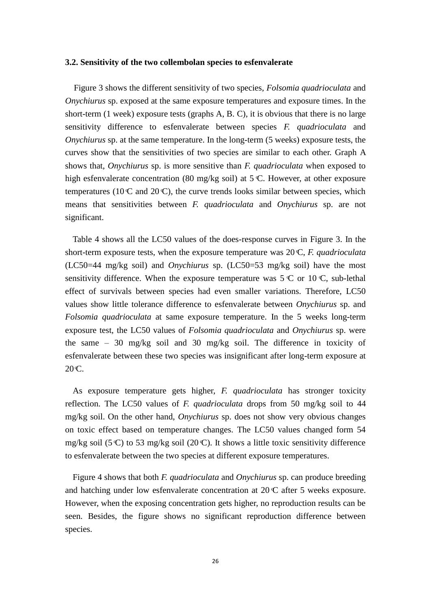## <span id="page-25-0"></span>**3.2. Sensitivity of the two collembolan species to esfenvalerate**

 Figure 3 shows the different sensitivity of two species, *Folsomia quadrioculata* and *Onychiurus* sp. exposed at the same exposure temperatures and exposure times. In the short-term (1 week) exposure tests (graphs A, B. C), it is obvious that there is no large sensitivity difference to esfenvalerate between species *F. quadrioculata* and *Onychiurus* sp. at the same temperature. In the long-term (5 weeks) exposure tests, the curves show that the sensitivities of two species are similar to each other. Graph A shows that, *Onychiurus* sp. is more sensitive than *F. quadrioculata* when exposed to high esfenvalerate concentration (80 mg/kg soil) at 5 °C. However, at other exposure temperatures (10  $\mathbb C$  and 20  $\mathbb C$ ), the curve trends looks similar between species, which means that sensitivities between *F. quadrioculata* and *Onychiurus* sp. are not significant.

Table 4 shows all the LC50 values of the does-response curves in Figure 3. In the short-term exposure tests, when the exposure temperature was 20 C, *F. quadrioculata* (LC50=44 mg/kg soil) and *Onychiurus* sp. (LC50=53 mg/kg soil) have the most sensitivity difference. When the exposure temperature was  $5 \text{ C}$  or  $10 \text{ C}$ , sub-lethal effect of survivals between species had even smaller variations. Therefore, LC50 values show little tolerance difference to esfenvalerate between *Onychiurus* sp. and *Folsomia quadrioculata* at same exposure temperature. In the 5 weeks long-term exposure test, the LC50 values of *Folsomia quadrioculata* and *Onychiurus* sp. were the same – 30 mg/kg soil and 30 mg/kg soil. The difference in toxicity of esfenvalerate between these two species was insignificant after long-term exposure at  $20 \text{C}$ .

As exposure temperature gets higher, *F. quadrioculata* has stronger toxicity reflection. The LC50 values of *F. quadrioculata* drops from 50 mg/kg soil to 44 mg/kg soil. On the other hand, *Onychiurus* sp. does not show very obvious changes on toxic effect based on temperature changes. The LC50 values changed form 54 mg/kg soil (5 °C) to 53 mg/kg soil (20 °C). It shows a little toxic sensitivity difference to esfenvalerate between the two species at different exposure temperatures.

Figure 4 shows that both *F. quadrioculata* and *Onychiurus* sp. can produce breeding and hatching under low esfenvalerate concentration at 20 C after 5 weeks exposure. However, when the exposing concentration gets higher, no reproduction results can be seen. Besides, the figure shows no significant reproduction difference between species.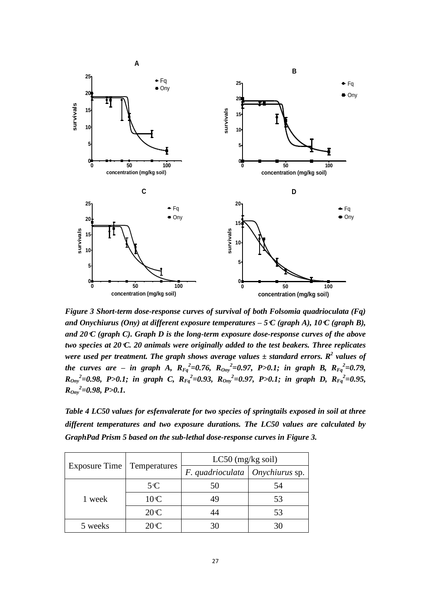

*Figure 3 Short-term dose-response curves of survival of both Folsomia quadrioculata (Fq) and Onychiurus (Ony) at different exposure temperatures – 5 C (graph A), 10 C (graph B), and 20 C (graph C). Graph D is the long-term exposure dose-response curves of the above two species at 20 C. 20 animals were originally added to the test beakers. Three replicates were used per treatment. The graph shows average values*  $\pm$  *standard errors. R<sup>2</sup> values of the curves are – in graph A,*  $R_{Fq}^2 = 0.76$ ,  $R_{Ony}^2 = 0.97$ , P>0.1; in graph B,  $R_{Fq}^2 = 0.79$ , *R*<sub>Ony</sub><sup>2</sup>=0.98, P>0.1; in graph C,  $R_{Fq}$ <sup>2</sup>=0.93,  $R_{Ony}$ <sup>2</sup>=0.97, P>0.1; in graph D,  $R_{Fq}$ <sup>2</sup>=0.95, *ROny 2 =0.98, P>0.1.*

*Table 4 LC50 values for esfenvalerate for two species of springtails exposed in soil at three different temperatures and two exposure durations. The LC50 values are calculated by GraphPad Prism 5 based on the sub-lethal dose-response curves in Figure 3.*

|               |              | $LC50$ (mg/kg soil)                 |    |
|---------------|--------------|-------------------------------------|----|
| Exposure Time | Temperatures | $F.$ quadrioculata   Onychiurus sp. |    |
|               | $5^{\circ}C$ | 50                                  | 54 |
| 1 week        | 10C          | 49                                  | 53 |
|               | 20C          | 44                                  | 53 |
| 5 weeks       | 20C          | 30                                  |    |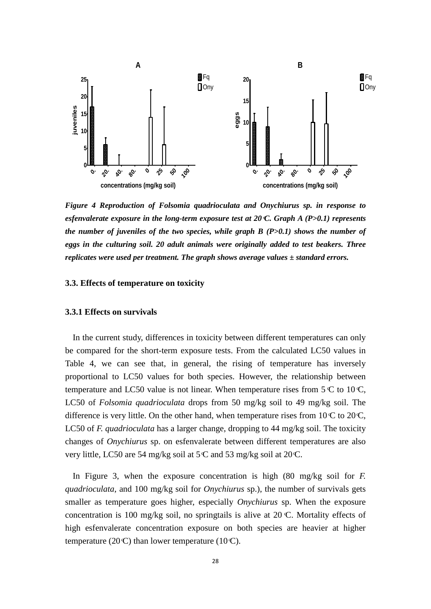

*Figure 4 Reproduction of Folsomia quadrioculata and Onychiurus sp. in response to esfenvalerate exposure in the long-term exposure test at 20 C. Graph A (P>0.1) represents the number of juveniles of the two species, while graph B (P>0.1) shows the number of eggs in the culturing soil. 20 adult animals were originally added to test beakers. Three replicates were used per treatment. The graph shows average values ±standard errors.*

# <span id="page-27-0"></span>**3.3. Effects of temperature on toxicity**

# <span id="page-27-1"></span>**3.3.1 Effects on survivals**

In the current study, differences in toxicity between different temperatures can only be compared for the short-term exposure tests. From the calculated LC50 values in Table 4, we can see that, in general, the rising of temperature has inversely proportional to LC50 values for both species. However, the relationship between temperature and LC50 value is not linear. When temperature rises from  $5 \text{ C}$  to  $10 \text{ C}$ , LC50 of *Folsomia quadrioculata* drops from 50 mg/kg soil to 49 mg/kg soil. The difference is very little. On the other hand, when temperature rises from  $10 \text{ C}$  to  $20 \text{ C}$ , LC50 of *F. quadrioculata* has a larger change, dropping to 44 mg/kg soil. The toxicity changes of *Onychiurus* sp. on esfenvalerate between different temperatures are also very little, LC50 are 54 mg/kg soil at 5 C and 53 mg/kg soil at 20 C.

In Figure 3, when the exposure concentration is high (80 mg/kg soil for *F. quadrioculata*, and 100 mg/kg soil for *Onychiurus* sp.), the number of survivals gets smaller as temperature goes higher, especially *Onychiurus* sp. When the exposure concentration is 100 mg/kg soil, no springtails is alive at 20  $\mathbb{C}$ . Mortality effects of high esfenvalerate concentration exposure on both species are heavier at higher temperature (20 $\mathbb{C}$ ) than lower temperature (10 $\mathbb{C}$ ).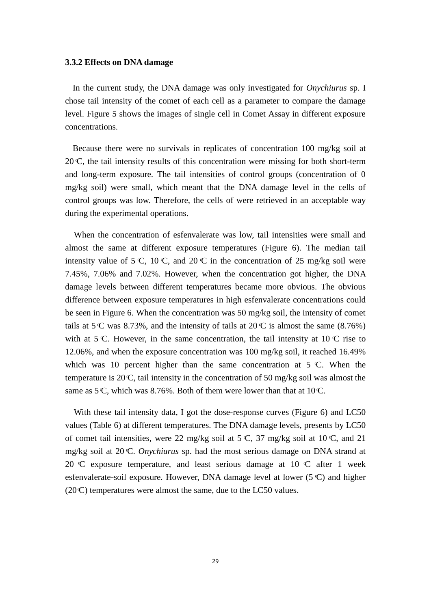#### <span id="page-28-0"></span>**3.3.2 Effects on DNA damage**

In the current study, the DNA damage was only investigated for *Onychiurus* sp. I chose tail intensity of the comet of each cell as a parameter to compare the damage level. Figure 5 shows the images of single cell in Comet Assay in different exposure concentrations.

Because there were no survivals in replicates of concentration 100 mg/kg soil at  $20 \text{ C}$ , the tail intensity results of this concentration were missing for both short-term and long-term exposure. The tail intensities of control groups (concentration of 0 mg/kg soil) were small, which meant that the DNA damage level in the cells of control groups was low. Therefore, the cells of were retrieved in an acceptable way during the experimental operations.

When the concentration of esfenvalerate was low, tail intensities were small and almost the same at different exposure temperatures (Figure 6). The median tail intensity value of 5 C, 10 C, and 20 C in the concentration of 25 mg/kg soil were 7.45%, 7.06% and 7.02%. However, when the concentration got higher, the DNA damage levels between different temperatures became more obvious. The obvious difference between exposure temperatures in high esfenvalerate concentrations could be seen in Figure 6. When the concentration was 50 mg/kg soil, the intensity of comet tails at 5 C was 8.73%, and the intensity of tails at 20 C is almost the same  $(8.76%)$ with at 5 C. However, in the same concentration, the tail intensity at 10 C rise to 12.06%, and when the exposure concentration was 100 mg/kg soil, it reached 16.49% which was 10 percent higher than the same concentration at 5  $\mathbb{C}$ . When the temperature is 20  $\mathbb{C}$ , tail intensity in the concentration of 50 mg/kg soil was almost the same as  $5^\circ$ C, which was 8.76%. Both of them were lower than that at 10 $\circ$ C.

With these tail intensity data, I got the dose-response curves (Figure 6) and LC50 values (Table 6) at different temperatures. The DNA damage levels, presents by LC50 of comet tail intensities, were 22 mg/kg soil at 5  $\mathbb{C}$ , 37 mg/kg soil at 10  $\mathbb{C}$ , and 21 mg/kg soil at 20 C. *Onychiurus* sp. had the most serious damage on DNA strand at 20 C exposure temperature, and least serious damage at 10 C after 1 week esfenvalerate-soil exposure. However, DNA damage level at lower (5 C) and higher  $(20 \text{C})$  temperatures were almost the same, due to the LC50 values.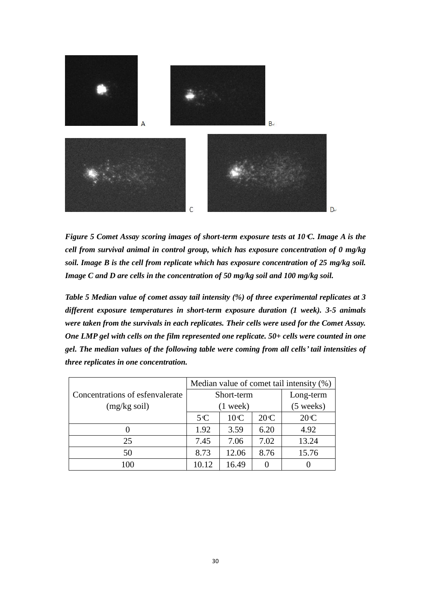

*Figure 5 Comet Assay scoring images of short-term exposure tests at 10 C. Image A is the cell from survival animal in control group, which has exposure concentration of 0 mg/kg soil. Image B is the cell from replicate which has exposure concentration of 25 mg/kg soil. Image C and D are cells in the concentration of 50 mg/kg soil and 100 mg/kg soil.*

*Table 5 Median value of comet assay tail intensity (%) of three experimental replicates at 3 different exposure temperatures in short-term exposure duration (1 week). 3-5 animals were taken from the survivals in each replicates. Their cells were used for the Comet Assay. One LMP gel with cells on the film represented one replicate. 50+ cells were counted in one gel. The median values of the following table were coming from all cells' tail intensities of three replicates in one concentration.*

|                                 | Median value of comet tail intensity (%) |                                   |           |       |  |  |  |
|---------------------------------|------------------------------------------|-----------------------------------|-----------|-------|--|--|--|
| Concentrations of esfenvalerate |                                          | Short-term                        | Long-term |       |  |  |  |
| $(mg/kg \text{ soil})$          |                                          | $(5 \text{ weeks})$<br>$(1$ week) |           |       |  |  |  |
|                                 | 5C                                       | 10C                               | 20C       | 20C   |  |  |  |
|                                 | 1.92                                     | 3.59                              | 6.20      | 4.92  |  |  |  |
| 25                              | 7.45                                     | 7.06                              | 7.02      | 13.24 |  |  |  |
| 50                              | 8.73                                     | 12.06                             | 8.76      | 15.76 |  |  |  |
| 00                              | 10.12                                    | 16.49                             |           |       |  |  |  |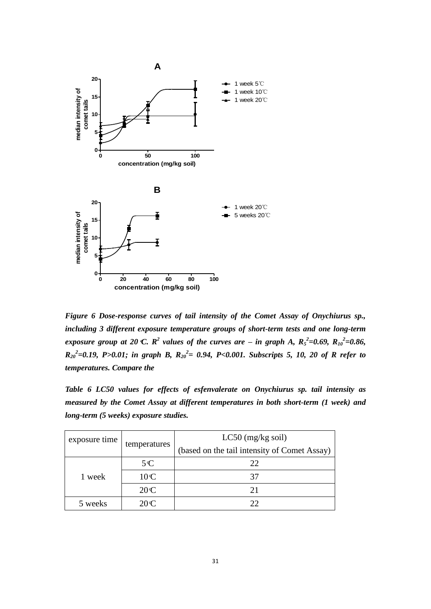

*Figure 6 Dose-response curves of tail intensity of the Comet Assay of Onychiurus sp., including 3 different exposure temperature groups of short-term tests and one long-term exposure group at 20 °C.*  $R^2$  *values of the curves are – in graph A,*  $R_5^2=0.69$ ,  $R_{10}^2=0.86$ ,  $R_{20}^2$ =0.19, P>0.01; in graph B,  $R_{20}^2$ = 0.94, P<0.001. Subscripts 5, 10, 20 of R refer to *temperatures. Compare the* 

*Table 6 LC50 values for effects of esfenvalerate on Onychiurus sp. tail intensity as measured by the Comet Assay at different temperatures in both short-term (1 week) and long-term (5 weeks) exposure studies.* 

| exposure time        |              | $LC50$ (mg/kg soil)                          |
|----------------------|--------------|----------------------------------------------|
|                      | temperatures | (based on the tail intensity of Comet Assay) |
|                      | $5^{\circ}C$ | 22                                           |
| 10C<br>1 week<br>20C |              | 37                                           |
|                      | 21           |                                              |
| 5 weeks              | 20C          | 22                                           |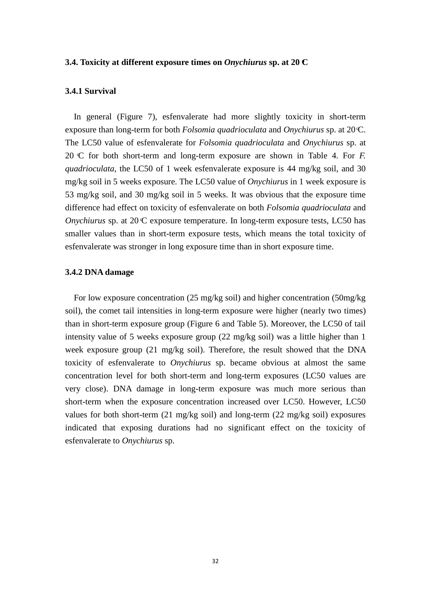## <span id="page-31-0"></span>**3.4. Toxicity at different exposure times on** *Onychiurus* **sp. at 20 C**

# <span id="page-31-1"></span>**3.4.1 Survival**

 In general (Figure 7), esfenvalerate had more slightly toxicity in short-term exposure than long-term for both *Folsomia quadrioculata* and *Onychiurus* sp. at 20 C. The LC50 value of esfenvalerate for *Folsomia quadrioculata* and *Onychiurus* sp. at 20 C for both short-term and long-term exposure are shown in Table 4. For *F. quadrioculata*, the LC50 of 1 week esfenvalerate exposure is 44 mg/kg soil, and 30 mg/kg soil in 5 weeks exposure. The LC50 value of *Onychiurus* in 1 week exposure is 53 mg/kg soil, and 30 mg/kg soil in 5 weeks. It was obvious that the exposure time difference had effect on toxicity of esfenvalerate on both *Folsomia quadrioculata* and *Onychiurus* sp. at 20 C exposure temperature. In long-term exposure tests, LC50 has smaller values than in short-term exposure tests, which means the total toxicity of esfenvalerate was stronger in long exposure time than in short exposure time.

# <span id="page-31-2"></span>**3.4.2 DNA damage**

For low exposure concentration (25 mg/kg soil) and higher concentration (50mg/kg soil), the comet tail intensities in long-term exposure were higher (nearly two times) than in short-term exposure group (Figure 6 and Table 5). Moreover, the LC50 of tail intensity value of 5 weeks exposure group  $(22 \text{ mg/kg soil})$  was a little higher than 1 week exposure group (21 mg/kg soil). Therefore, the result showed that the DNA toxicity of esfenvalerate to *Onychiurus* sp. became obvious at almost the same concentration level for both short-term and long-term exposures (LC50 values are very close). DNA damage in long-term exposure was much more serious than short-term when the exposure concentration increased over LC50. However, LC50 values for both short-term (21 mg/kg soil) and long-term (22 mg/kg soil) exposures indicated that exposing durations had no significant effect on the toxicity of esfenvalerate to *Onychiurus* sp.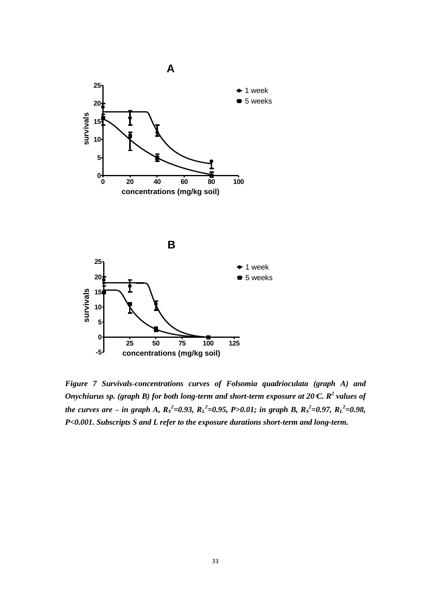

*Figure 7 Survivals-concentrations curves of Folsomia quadrioculata (graph A) and Onychiurus sp. (graph B) for both long-term and short-term exposure at 20 °C. R<sup>2</sup> values of the curves are – in graph A,*  $R_S^2 = 0.93$ *,*  $R_L^2 = 0.95$ *, P>0.01; in graph B,*  $R_S^2 = 0.97$ *,*  $R_L^2 = 0.98$ *, P<0.001. Subscripts S and L refer to the exposure durations short-term and long-term.*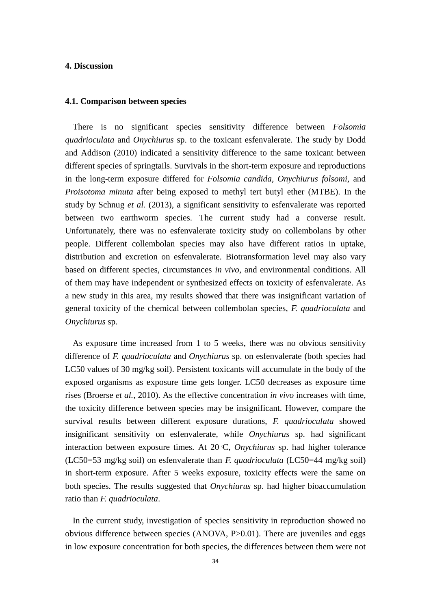# <span id="page-33-0"></span>**4. Discussion**

## <span id="page-33-1"></span>**4.1. Comparison between species**

There is no significant species sensitivity difference between *Folsomia quadrioculata* and *Onychiurus* sp. to the toxicant esfenvalerate. The study by Dodd and Addison (2010) indicated a sensitivity difference to the same toxicant between different species of springtails. Survivals in the short-term exposure and reproductions in the long-term exposure differed for *Folsomia candida*, *Onychiurus folsomi,* and *Proisotoma minuta* after being exposed to methyl tert butyl ether (MTBE). In the study by Schnug *et al.* (2013), a significant sensitivity to esfenvalerate was reported between two earthworm species. The current study had a converse result. Unfortunately, there was no esfenvalerate toxicity study on collembolans by other people. Different collembolan species may also have different ratios in uptake, distribution and excretion on esfenvalerate. Biotransformation level may also vary based on different species, circumstances *in vivo*, and environmental conditions. All of them may have independent or synthesized effects on toxicity of esfenvalerate. As a new study in this area, my results showed that there was insignificant variation of general toxicity of the chemical between collembolan species, *F. quadrioculata* and *Onychiurus* sp.

As exposure time increased from 1 to 5 weeks, there was no obvious sensitivity difference of *F. quadrioculata* and *Onychiurus* sp. on esfenvalerate (both species had LC50 values of 30 mg/kg soil). Persistent toxicants will accumulate in the body of the exposed organisms as exposure time gets longer. LC50 decreases as exposure time rises (Broerse *et al.*, 2010). As the effective concentration *in vivo* increases with time, the toxicity difference between species may be insignificant. However, compare the survival results between different exposure durations, *F. quadrioculata* showed insignificant sensitivity on esfenvalerate, while *Onychiurus* sp. had significant interaction between exposure times. At 20 C, *Onychiurus* sp. had higher tolerance (LC50=53 mg/kg soil) on esfenvalerate than *F. quadrioculata* (LC50=44 mg/kg soil) in short-term exposure. After 5 weeks exposure, toxicity effects were the same on both species. The results suggested that *Onychiurus* sp. had higher bioaccumulation ratio than *F. quadrioculata*.

In the current study, investigation of species sensitivity in reproduction showed no obvious difference between species (ANOVA, P>0.01). There are juveniles and eggs in low exposure concentration for both species, the differences between them were not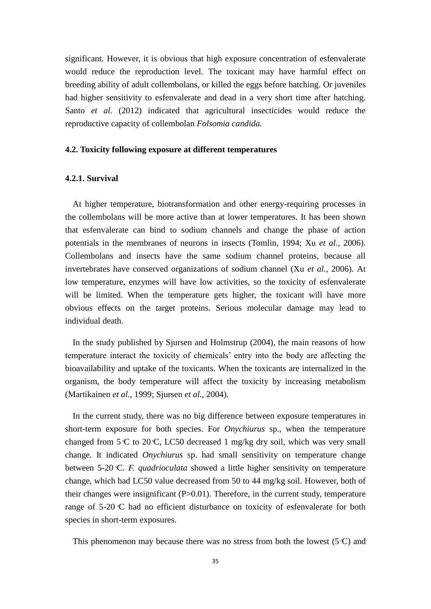significant. However, it is obvious that high exposure concentration of esfenvalerate would reduce the reproduction level. The toxicant may have harmful effect on breeding ability of adult collembolans, or killed the eggs before hatching. Or juveniles had higher sensitivity to esfenvalerate and dead in a very short time after hatching. Santo *et al.* (2012) indicated that agricultural insecticides would reduce the reproductive capacity of collembolan *Folsomia candida.*

# <span id="page-34-0"></span>**4.2. Toxicity following exposure at different temperatures**

# <span id="page-34-1"></span>**4.2.1. Survival**

At higher temperature, biotransformation and other energy-requiring processes in the collembolans will be more active than at lower temperatures. It has been shown that esfenvalerate can bind to sodium channels and change the phase of action potentials in the membranes of neurons in insects (Tomlin, 1994; Xu *et al.,* 2006). Collembolans and insects have the same sodium channel proteins, because all invertebrates have conserved organizations of sodium channel (Xu *et al.*, 2006). At low temperature, enzymes will have low activities, so the toxicity of esfenvalerate will be limited. When the temperature gets higher, the toxicant will have more obvious effects on the target proteins. Serious molecular damage may lead to individual death.

In the study published by Sjursen and Holmstrup (2004), the main reasons of how temperature interact the toxicity of chemicals' entry into the body are affecting the bioavailability and uptake of the toxicants. When the toxicants are internalized in the organism, the body temperature will affect the toxicity by increasing metabolism (Martikainen *et al.*, 1999; Sjursen *et al.*, 2004).

In the current study, there was no big difference between exposure temperatures in short-term exposure for both species. For *Onychiurus* sp., when the temperature changed from  $5 \text{ C}$  to  $20 \text{ C}$ , LC50 decreased 1 mg/kg dry soil, which was very small change. It indicated *Onychiurus* sp. had small sensitivity on temperature change between 5-20 C. *F. quadrioculata* showed a little higher sensitivity on temperature change, which had LC50 value decreased from 50 to 44 mg/kg soil. However, both of their changes were insignificant (P>0.01). Therefore, in the current study, temperature range of 5-20 C had no efficient disturbance on toxicity of esfenvalerate for both species in short-term exposures.

This phenomenon may because there was no stress from both the lowest  $(5 \, \text{C})$  and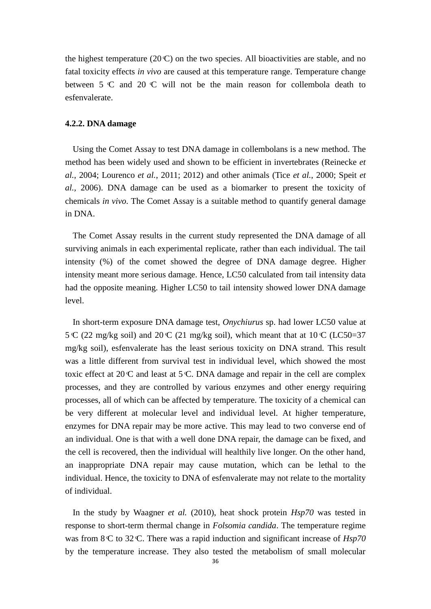the highest temperature  $(20 \text{ C})$  on the two species. All bioactivities are stable, and no fatal toxicity effects *in vivo* are caused at this temperature range. Temperature change between  $5 \text{ }^{\circ}$  C and 20  $^{\circ}$  C will not be the main reason for collembola death to esfenvalerate.

# <span id="page-35-0"></span>**4.2.2. DNA damage**

Using the Comet Assay to test DNA damage in collembolans is a new method. The method has been widely used and shown to be efficient in invertebrates (Reinecke *et al.*, 2004; Lourenco *et al.*, 2011; 2012) and other animals (Tice *et al.*, 2000; Speit *et al.,* 2006). DNA damage can be used as a biomarker to present the toxicity of chemicals *in vivo*. The Comet Assay is a suitable method to quantify general damage in DNA.

The Comet Assay results in the current study represented the DNA damage of all surviving animals in each experimental replicate, rather than each individual. The tail intensity (%) of the comet showed the degree of DNA damage degree. Higher intensity meant more serious damage. Hence, LC50 calculated from tail intensity data had the opposite meaning. Higher LC50 to tail intensity showed lower DNA damage level.

In short-term exposure DNA damage test, *Onychiurus* sp. had lower LC50 value at 5 C (22 mg/kg soil) and 20 C (21 mg/kg soil), which meant that at  $10 \text{ C (LC50=37)}$ mg/kg soil), esfenvalerate has the least serious toxicity on DNA strand. This result was a little different from survival test in individual level, which showed the most toxic effect at  $20 \, \text{C}$  and least at  $5 \, \text{C}$ . DNA damage and repair in the cell are complex processes, and they are controlled by various enzymes and other energy requiring processes, all of which can be affected by temperature. The toxicity of a chemical can be very different at molecular level and individual level. At higher temperature, enzymes for DNA repair may be more active. This may lead to two converse end of an individual. One is that with a well done DNA repair, the damage can be fixed, and the cell is recovered, then the individual will healthily live longer. On the other hand, an inappropriate DNA repair may cause mutation, which can be lethal to the individual. Hence, the toxicity to DNA of esfenvalerate may not relate to the mortality of individual.

In the study by Waagner *et al.* (2010), heat shock protein *Hsp70* was tested in response to short-term thermal change in *Folsomia candida*. The temperature regime was from 8 C to 32 C. There was a rapid induction and significant increase of *Hsp70* by the temperature increase. They also tested the metabolism of small molecular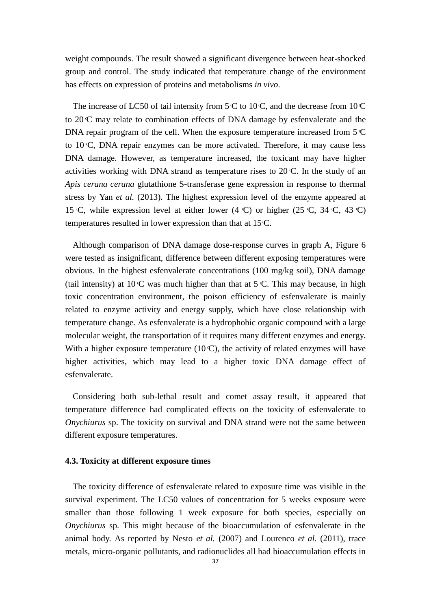weight compounds. The result showed a significant divergence between heat-shocked group and control. The study indicated that temperature change of the environment has effects on expression of proteins and metabolisms *in vivo*.

The increase of LC50 of tail intensity from  $5\textdegree C$  to 10 $\textdegree C$ , and the decrease from 10 $\textdegree C$ to 20 C may relate to combination effects of DNA damage by esfenvalerate and the DNA repair program of the cell. When the exposure temperature increased from 5 °C to 10 C, DNA repair enzymes can be more activated. Therefore, it may cause less DNA damage. However, as temperature increased, the toxicant may have higher activities working with DNA strand as temperature rises to 20 C. In the study of an *Apis cerana cerana* glutathione S-transferase gene expression in response to thermal stress by Yan *et al.* (2013). The highest expression level of the enzyme appeared at 15 C, while expression level at either lower (4 C) or higher (25 C, 34 C, 43 C) temperatures resulted in lower expression than that at 15 C.

Although comparison of DNA damage dose-response curves in graph A, Figure 6 were tested as insignificant, difference between different exposing temperatures were obvious. In the highest esfenvalerate concentrations (100 mg/kg soil), DNA damage (tail intensity) at  $10 \text{ C}$  was much higher than that at  $5 \text{ C}$ . This may because, in high toxic concentration environment, the poison efficiency of esfenvalerate is mainly related to enzyme activity and energy supply, which have close relationship with temperature change. As esfenvalerate is a hydrophobic organic compound with a large molecular weight, the transportation of it requires many different enzymes and energy. With a higher exposure temperature  $(10 \text{ C})$ , the activity of related enzymes will have higher activities, which may lead to a higher toxic DNA damage effect of esfenvalerate.

Considering both sub-lethal result and comet assay result, it appeared that temperature difference had complicated effects on the toxicity of esfenvalerate to *Onychiurus* sp. The toxicity on survival and DNA strand were not the same between different exposure temperatures.

#### <span id="page-36-0"></span>**4.3. Toxicity at different exposure times**

The toxicity difference of esfenvalerate related to exposure time was visible in the survival experiment. The LC50 values of concentration for 5 weeks exposure were smaller than those following 1 week exposure for both species, especially on *Onychiurus* sp. This might because of the bioaccumulation of esfenvalerate in the animal body. As reported by Nesto *et al.* (2007) and Lourenco *et al.* (2011), trace metals, micro-organic pollutants, and radionuclides all had bioaccumulation effects in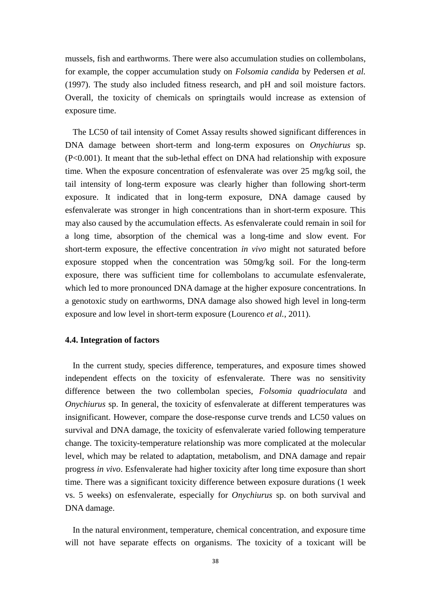mussels, fish and earthworms. There were also accumulation studies on collembolans, for example, the copper accumulation study on *Folsomia candida* by Pedersen *et al.* (1997). The study also included fitness research, and pH and soil moisture factors. Overall, the toxicity of chemicals on springtails would increase as extension of exposure time.

The LC50 of tail intensity of Comet Assay results showed significant differences in DNA damage between short-term and long-term exposures on *Onychiurus* sp. (P<0.001). It meant that the sub-lethal effect on DNA had relationship with exposure time. When the exposure concentration of esfenvalerate was over 25 mg/kg soil, the tail intensity of long-term exposure was clearly higher than following short-term exposure. It indicated that in long-term exposure, DNA damage caused by esfenvalerate was stronger in high concentrations than in short-term exposure. This may also caused by the accumulation effects. As esfenvalerate could remain in soil for a long time, absorption of the chemical was a long-time and slow event. For short-term exposure, the effective concentration *in vivo* might not saturated before exposure stopped when the concentration was 50mg/kg soil. For the long-term exposure, there was sufficient time for collembolans to accumulate esfenvalerate, which led to more pronounced DNA damage at the higher exposure concentrations. In a genotoxic study on earthworms, DNA damage also showed high level in long-term exposure and low level in short-term exposure (Lourenco *et al.*, 2011).

# <span id="page-37-0"></span>**4.4. Integration of factors**

In the current study, species difference, temperatures, and exposure times showed independent effects on the toxicity of esfenvalerate. There was no sensitivity difference between the two collembolan species, *Folsomia quadrioculata* and *Onychiurus* sp. In general, the toxicity of esfenvalerate at different temperatures was insignificant. However, compare the dose-response curve trends and LC50 values on survival and DNA damage, the toxicity of esfenvalerate varied following temperature change. The toxicity-temperature relationship was more complicated at the molecular level, which may be related to adaptation, metabolism, and DNA damage and repair progress *in vivo*. Esfenvalerate had higher toxicity after long time exposure than short time. There was a significant toxicity difference between exposure durations (1 week vs. 5 weeks) on esfenvalerate, especially for *Onychiurus* sp. on both survival and DNA damage.

In the natural environment, temperature, chemical concentration, and exposure time will not have separate effects on organisms. The toxicity of a toxicant will be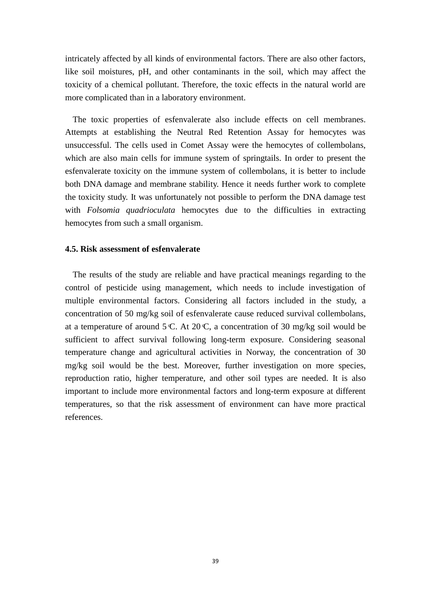intricately affected by all kinds of environmental factors. There are also other factors, like soil moistures, pH, and other contaminants in the soil, which may affect the toxicity of a chemical pollutant. Therefore, the toxic effects in the natural world are more complicated than in a laboratory environment.

The toxic properties of esfenvalerate also include effects on cell membranes. Attempts at establishing the Neutral Red Retention Assay for hemocytes was unsuccessful. The cells used in Comet Assay were the hemocytes of collembolans, which are also main cells for immune system of springtails. In order to present the esfenvalerate toxicity on the immune system of collembolans, it is better to include both DNA damage and membrane stability. Hence it needs further work to complete the toxicity study. It was unfortunately not possible to perform the DNA damage test with *Folsomia quadrioculata* hemocytes due to the difficulties in extracting hemocytes from such a small organism.

# <span id="page-38-0"></span>**4.5. Risk assessment of esfenvalerate**

The results of the study are reliable and have practical meanings regarding to the control of pesticide using management, which needs to include investigation of multiple environmental factors. Considering all factors included in the study, a concentration of 50 mg/kg soil of esfenvalerate cause reduced survival collembolans, at a temperature of around  $5 \text{ C}$ . At  $20 \text{ C}$ , a concentration of 30 mg/kg soil would be sufficient to affect survival following long-term exposure. Considering seasonal temperature change and agricultural activities in Norway, the concentration of 30 mg/kg soil would be the best. Moreover, further investigation on more species, reproduction ratio, higher temperature, and other soil types are needed. It is also important to include more environmental factors and long-term exposure at different temperatures, so that the risk assessment of environment can have more practical references.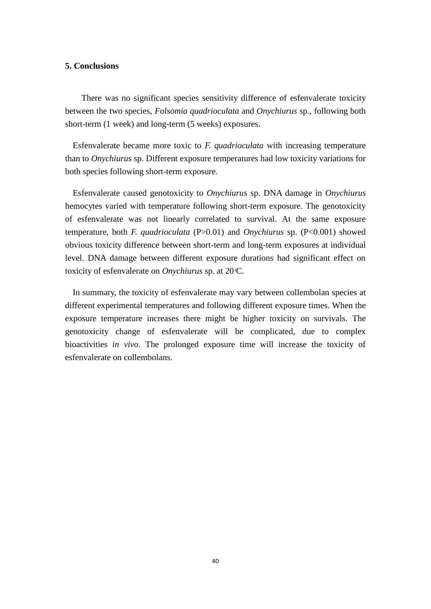# <span id="page-39-0"></span>**5. Conclusions**

There was no significant species sensitivity difference of esfenvalerate toxicity between the two species, *Folsomia quadrioculata* and *Onychiurus* sp., following both short-term (1 week) and long-term (5 weeks) exposures.

Esfenvalerate became more toxic to *F. quadrioculata* with increasing temperature than to *Onychiurus* sp. Different exposure temperatures had low toxicity variations for both species following short-term exposure.

Esfenvalerate caused genotoxicity to *Onychiurus* sp. DNA damage in *Onychiurus* hemocytes varied with temperature following short-term exposure. The genotoxicity of esfenvalerate was not linearly correlated to survival. At the same exposure temperature, both *F. quadrioculata* (P>0.01) and *Onychiurus* sp. (P<0.001) showed obvious toxicity difference between short-term and long-term exposures at individual level. DNA damage between different exposure durations had significant effect on toxicity of esfenvalerate on *Onychiurus* sp. at 20 C.

In summary, the toxicity of esfenvalerate may vary between collembolan species at different experimental temperatures and following different exposure times. When the exposure temperature increases there might be higher toxicity on survivals. The genotoxicity change of esfenvalerate will be complicated, due to complex bioactivities *in vivo*. The prolonged exposure time will increase the toxicity of esfenvalerate on collembolans.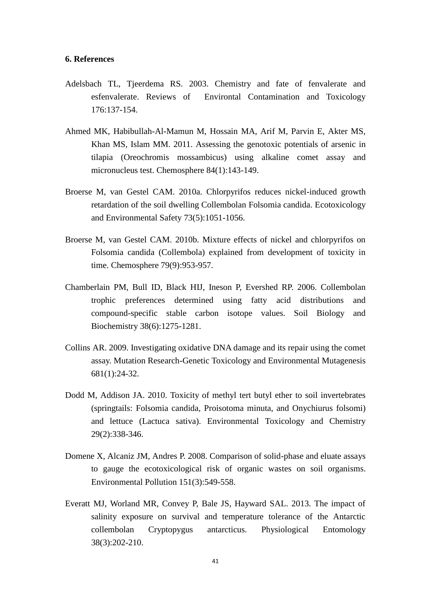# <span id="page-40-0"></span>**6. References**

- Adelsbach TL, Tjeerdema RS. 2003. Chemistry and fate of fenvalerate and esfenvalerate. Reviews of Environtal Contamination and Toxicology 176:137-154.
- Ahmed MK, Habibullah-Al-Mamun M, Hossain MA, Arif M, Parvin E, Akter MS, Khan MS, Islam MM. 2011. Assessing the genotoxic potentials of arsenic in tilapia (Oreochromis mossambicus) using alkaline comet assay and micronucleus test. Chemosphere 84(1):143-149.
- Broerse M, van Gestel CAM. 2010a. Chlorpyrifos reduces nickel-induced growth retardation of the soil dwelling Collembolan Folsomia candida. Ecotoxicology and Environmental Safety 73(5):1051-1056.
- Broerse M, van Gestel CAM. 2010b. Mixture effects of nickel and chlorpyrifos on Folsomia candida (Collembola) explained from development of toxicity in time. Chemosphere 79(9):953-957.
- Chamberlain PM, Bull ID, Black HIJ, Ineson P, Evershed RP. 2006. Collembolan trophic preferences determined using fatty acid distributions and compound-specific stable carbon isotope values. Soil Biology and Biochemistry 38(6):1275-1281.
- Collins AR. 2009. Investigating oxidative DNA damage and its repair using the comet assay. Mutation Research-Genetic Toxicology and Environmental Mutagenesis 681(1):24-32.
- Dodd M, Addison JA. 2010. Toxicity of methyl tert butyl ether to soil invertebrates (springtails: Folsomia candida, Proisotoma minuta, and Onychiurus folsomi) and lettuce (Lactuca sativa). Environmental Toxicology and Chemistry 29(2):338-346.
- Domene X, Alcaniz JM, Andres P. 2008. Comparison of solid-phase and eluate assays to gauge the ecotoxicological risk of organic wastes on soil organisms. Environmental Pollution 151(3):549-558.
- Everatt MJ, Worland MR, Convey P, Bale JS, Hayward SAL. 2013. The impact of salinity exposure on survival and temperature tolerance of the Antarctic collembolan Cryptopygus antarcticus. Physiological Entomology 38(3):202-210.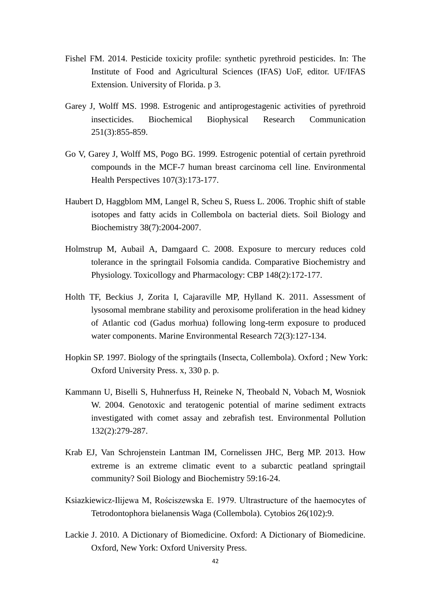- Fishel FM. 2014. Pesticide toxicity profile: synthetic pyrethroid pesticides. In: The Institute of Food and Agricultural Sciences (IFAS) UoF, editor. UF/IFAS Extension. University of Florida. p 3.
- Garey J, Wolff MS. 1998. Estrogenic and antiprogestagenic activities of pyrethroid insecticides. Biochemical Biophysical Research Communication 251(3):855-859.
- Go V, Garey J, Wolff MS, Pogo BG. 1999. Estrogenic potential of certain pyrethroid compounds in the MCF-7 human breast carcinoma cell line. Environmental Health Perspectives 107(3):173-177.
- Haubert D, Haggblom MM, Langel R, Scheu S, Ruess L. 2006. Trophic shift of stable isotopes and fatty acids in Collembola on bacterial diets. Soil Biology and Biochemistry 38(7):2004-2007.
- Holmstrup M, Aubail A, Damgaard C. 2008. Exposure to mercury reduces cold tolerance in the springtail Folsomia candida. Comparative Biochemistry and Physiology. Toxicollogy and Pharmacology: CBP 148(2):172-177.
- Holth TF, Beckius J, Zorita I, Cajaraville MP, Hylland K. 2011. Assessment of lysosomal membrane stability and peroxisome proliferation in the head kidney of Atlantic cod (Gadus morhua) following long-term exposure to produced water components. Marine Environmental Research 72(3):127-134.
- Hopkin SP. 1997. Biology of the springtails (Insecta, Collembola). Oxford ; New York: Oxford University Press. x, 330 p. p.
- Kammann U, Biselli S, Huhnerfuss H, Reineke N, Theobald N, Vobach M, Wosniok W. 2004. Genotoxic and teratogenic potential of marine sediment extracts investigated with comet assay and zebrafish test. Environmental Pollution 132(2):279-287.
- Krab EJ, Van Schrojenstein Lantman IM, Cornelissen JHC, Berg MP. 2013. How extreme is an extreme climatic event to a subarctic peatland springtail community? Soil Biology and Biochemistry 59:16-24.
- Ksiazkiewicz-Ilijewa M, Rościszewska E. 1979. Ultrastructure of the haemocytes of Tetrodontophora bielanensis Waga (Collembola). Cytobios 26(102):9.
- Lackie J. 2010. A Dictionary of Biomedicine. Oxford: A Dictionary of Biomedicine. Oxford, New York: Oxford University Press.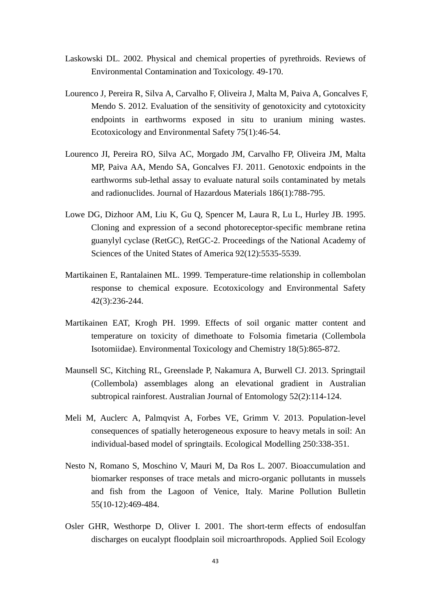- Laskowski DL. 2002. Physical and chemical properties of pyrethroids. Reviews of Environmental Contamination and Toxicology. 49-170.
- Lourenco J, Pereira R, Silva A, Carvalho F, Oliveira J, Malta M, Paiva A, Goncalves F, Mendo S. 2012. Evaluation of the sensitivity of genotoxicity and cytotoxicity endpoints in earthworms exposed in situ to uranium mining wastes. Ecotoxicology and Environmental Safety 75(1):46-54.
- Lourenco JI, Pereira RO, Silva AC, Morgado JM, Carvalho FP, Oliveira JM, Malta MP, Paiva AA, Mendo SA, Goncalves FJ. 2011. Genotoxic endpoints in the earthworms sub-lethal assay to evaluate natural soils contaminated by metals and radionuclides. Journal of Hazardous Materials 186(1):788-795.
- Lowe DG, Dizhoor AM, Liu K, Gu Q, Spencer M, Laura R, Lu L, Hurley JB. 1995. Cloning and expression of a second photoreceptor-specific membrane retina guanylyl cyclase (RetGC), RetGC-2. Proceedings of the National Academy of Sciences of the United States of America 92(12):5535-5539.
- Martikainen E, Rantalainen ML. 1999. Temperature-time relationship in collembolan response to chemical exposure. Ecotoxicology and Environmental Safety 42(3):236-244.
- Martikainen EAT, Krogh PH. 1999. Effects of soil organic matter content and temperature on toxicity of dimethoate to Folsomia fimetaria (Collembola Isotomiidae). Environmental Toxicology and Chemistry 18(5):865-872.
- Maunsell SC, Kitching RL, Greenslade P, Nakamura A, Burwell CJ. 2013. Springtail (Collembola) assemblages along an elevational gradient in Australian subtropical rainforest. Australian Journal of Entomology 52(2):114-124.
- Meli M, Auclerc A, Palmqvist A, Forbes VE, Grimm V. 2013. Population-level consequences of spatially heterogeneous exposure to heavy metals in soil: An individual-based model of springtails. Ecological Modelling 250:338-351.
- Nesto N, Romano S, Moschino V, Mauri M, Da Ros L. 2007. Bioaccumulation and biomarker responses of trace metals and micro-organic pollutants in mussels and fish from the Lagoon of Venice, Italy. Marine Pollution Bulletin 55(10-12):469-484.
- Osler GHR, Westhorpe D, Oliver I. 2001. The short-term effects of endosulfan discharges on eucalypt floodplain soil microarthropods. Applied Soil Ecology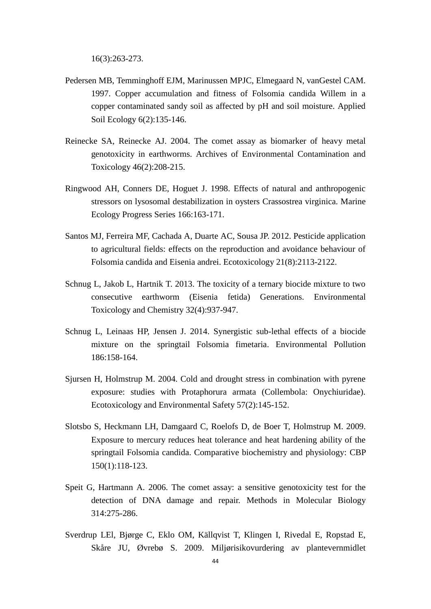16(3):263-273.

- Pedersen MB, Temminghoff EJM, Marinussen MPJC, Elmegaard N, vanGestel CAM. 1997. Copper accumulation and fitness of Folsomia candida Willem in a copper contaminated sandy soil as affected by pH and soil moisture. Applied Soil Ecology 6(2):135-146.
- Reinecke SA, Reinecke AJ. 2004. The comet assay as biomarker of heavy metal genotoxicity in earthworms. Archives of Environmental Contamination and Toxicology 46(2):208-215.
- Ringwood AH, Conners DE, Hoguet J. 1998. Effects of natural and anthropogenic stressors on lysosomal destabilization in oysters Crassostrea virginica. Marine Ecology Progress Series 166:163-171.
- Santos MJ, Ferreira MF, Cachada A, Duarte AC, Sousa JP. 2012. Pesticide application to agricultural fields: effects on the reproduction and avoidance behaviour of Folsomia candida and Eisenia andrei. Ecotoxicology 21(8):2113-2122.
- Schnug L, Jakob L, Hartnik T. 2013. The toxicity of a ternary biocide mixture to two consecutive earthworm (Eisenia fetida) Generations. Environmental Toxicology and Chemistry 32(4):937-947.
- Schnug L, Leinaas HP, Jensen J. 2014. Synergistic sub-lethal effects of a biocide mixture on the springtail Folsomia fimetaria. Environmental Pollution 186:158-164.
- Sjursen H, Holmstrup M. 2004. Cold and drought stress in combination with pyrene exposure: studies with Protaphorura armata (Collembola: Onychiuridae). Ecotoxicology and Environmental Safety 57(2):145-152.
- Slotsbo S, Heckmann LH, Damgaard C, Roelofs D, de Boer T, Holmstrup M. 2009. Exposure to mercury reduces heat tolerance and heat hardening ability of the springtail Folsomia candida. Comparative biochemistry and physiology: CBP 150(1):118-123.
- Speit G, Hartmann A. 2006. The comet assay: a sensitive genotoxicity test for the detection of DNA damage and repair. Methods in Molecular Biology 314:275-286.
- Sverdrup LEl, Bjørge C, Eklo OM, Källqvist T, Klingen I, Rivedal E, Ropstad E, Skåre JU, Øvrebø S. 2009. Miljørisikovurdering av plantevernmidlet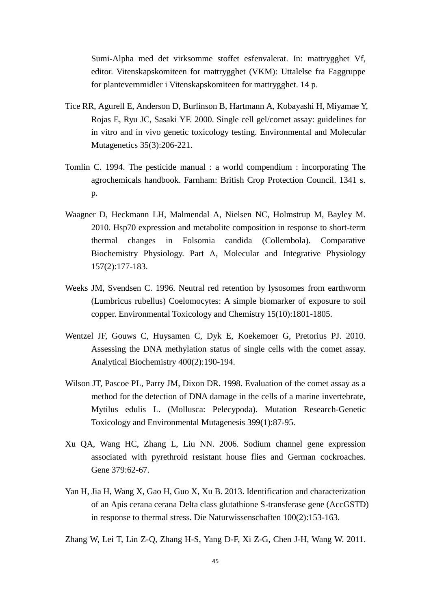Sumi-Alpha med det virksomme stoffet esfenvalerat. In: mattrygghet Vf, editor. Vitenskapskomiteen for mattrygghet (VKM): Uttalelse fra Faggruppe for plantevernmidler i Vitenskapskomiteen for mattrygghet. 14 p.

- Tice RR, Agurell E, Anderson D, Burlinson B, Hartmann A, Kobayashi H, Miyamae Y, Rojas E, Ryu JC, Sasaki YF. 2000. Single cell gel/comet assay: guidelines for in vitro and in vivo genetic toxicology testing. Environmental and Molecular Mutagenetics 35(3):206-221.
- Tomlin C. 1994. The pesticide manual : a world compendium : incorporating The agrochemicals handbook. Farnham: British Crop Protection Council. 1341 s. p.
- Waagner D, Heckmann LH, Malmendal A, Nielsen NC, Holmstrup M, Bayley M. 2010. Hsp70 expression and metabolite composition in response to short-term thermal changes in Folsomia candida (Collembola). Comparative Biochemistry Physiology. Part A, Molecular and Integrative Physiology 157(2):177-183.
- Weeks JM, Svendsen C. 1996. Neutral red retention by lysosomes from earthworm (Lumbricus rubellus) Coelomocytes: A simple biomarker of exposure to soil copper. Environmental Toxicology and Chemistry 15(10):1801-1805.
- Wentzel JF, Gouws C, Huysamen C, Dyk E, Koekemoer G, Pretorius PJ. 2010. Assessing the DNA methylation status of single cells with the comet assay. Analytical Biochemistry 400(2):190-194.
- Wilson JT, Pascoe PL, Parry JM, Dixon DR. 1998. Evaluation of the comet assay as a method for the detection of DNA damage in the cells of a marine invertebrate, Mytilus edulis L. (Mollusca: Pelecypoda). Mutation Research-Genetic Toxicology and Environmental Mutagenesis 399(1):87-95.
- Xu QA, Wang HC, Zhang L, Liu NN. 2006. Sodium channel gene expression associated with pyrethroid resistant house flies and German cockroaches. Gene 379:62-67.
- Yan H, Jia H, Wang X, Gao H, Guo X, Xu B. 2013. Identification and characterization of an Apis cerana cerana Delta class glutathione S-transferase gene (AccGSTD) in response to thermal stress. Die Naturwissenschaften 100(2):153-163.

Zhang W, Lei T, Lin Z-Q, Zhang H-S, Yang D-F, Xi Z-G, Chen J-H, Wang W. 2011.